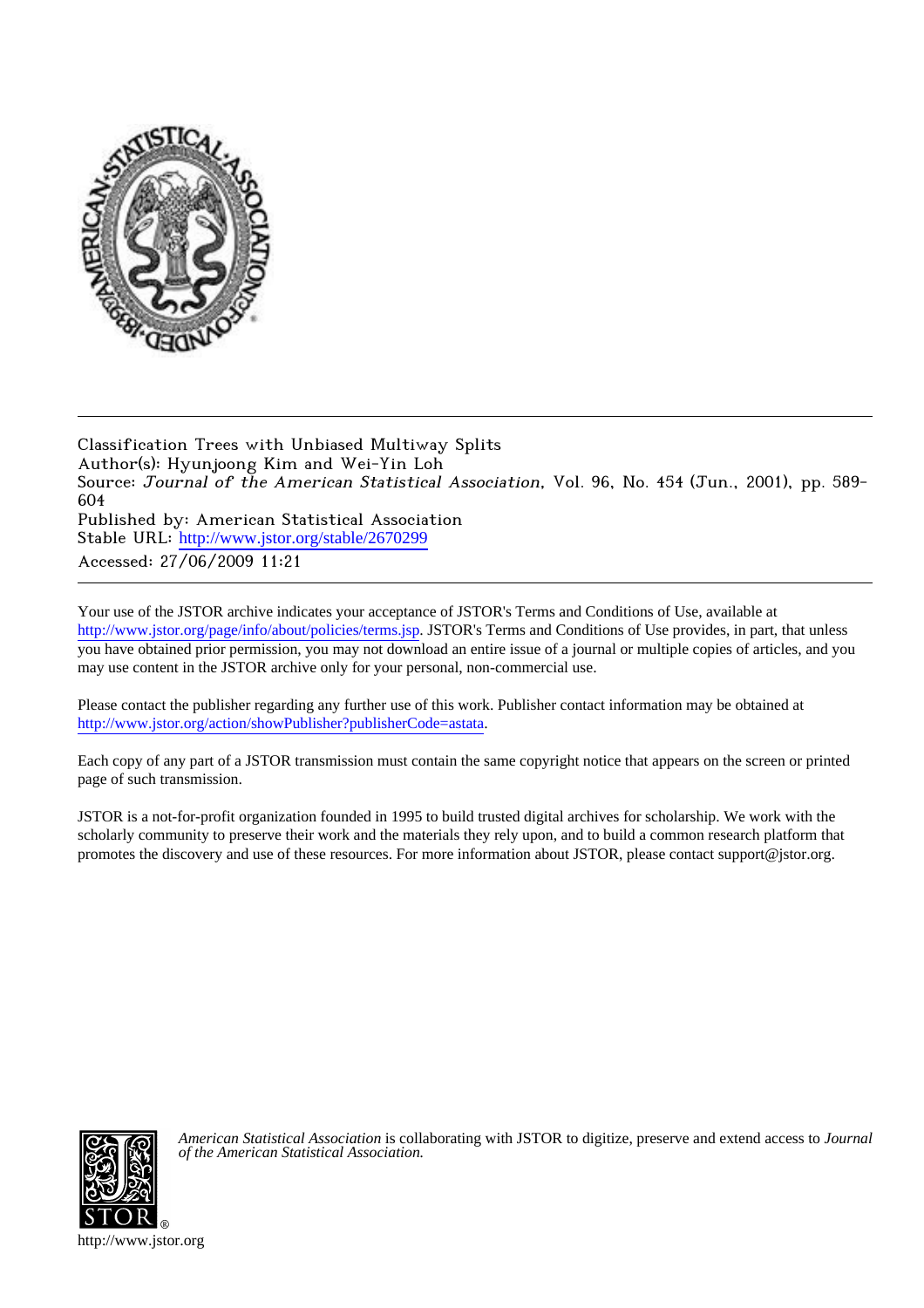

Classification Trees with Unbiased Multiway Splits Author(s): Hyunjoong Kim and Wei-Yin Loh Source: Journal of the American Statistical Association, Vol. 96, No. 454 (Jun., 2001), pp. 589- 604 Published by: American Statistical Association Stable URL: [http://www.jstor.org/stable/2670299](http://www.jstor.org/stable/2670299?origin=JSTOR-pdf) Accessed: 27/06/2009 11:21

Your use of the JSTOR archive indicates your acceptance of JSTOR's Terms and Conditions of Use, available at <http://www.jstor.org/page/info/about/policies/terms.jsp>. JSTOR's Terms and Conditions of Use provides, in part, that unless you have obtained prior permission, you may not download an entire issue of a journal or multiple copies of articles, and you may use content in the JSTOR archive only for your personal, non-commercial use.

Please contact the publisher regarding any further use of this work. Publisher contact information may be obtained at [http://www.jstor.org/action/showPublisher?publisherCode=astata.](http://www.jstor.org/action/showPublisher?publisherCode=astata)

Each copy of any part of a JSTOR transmission must contain the same copyright notice that appears on the screen or printed page of such transmission.

JSTOR is a not-for-profit organization founded in 1995 to build trusted digital archives for scholarship. We work with the scholarly community to preserve their work and the materials they rely upon, and to build a common research platform that promotes the discovery and use of these resources. For more information about JSTOR, please contact support@jstor.org.



*American Statistical Association* is collaborating with JSTOR to digitize, preserve and extend access to *Journal of the American Statistical Association.*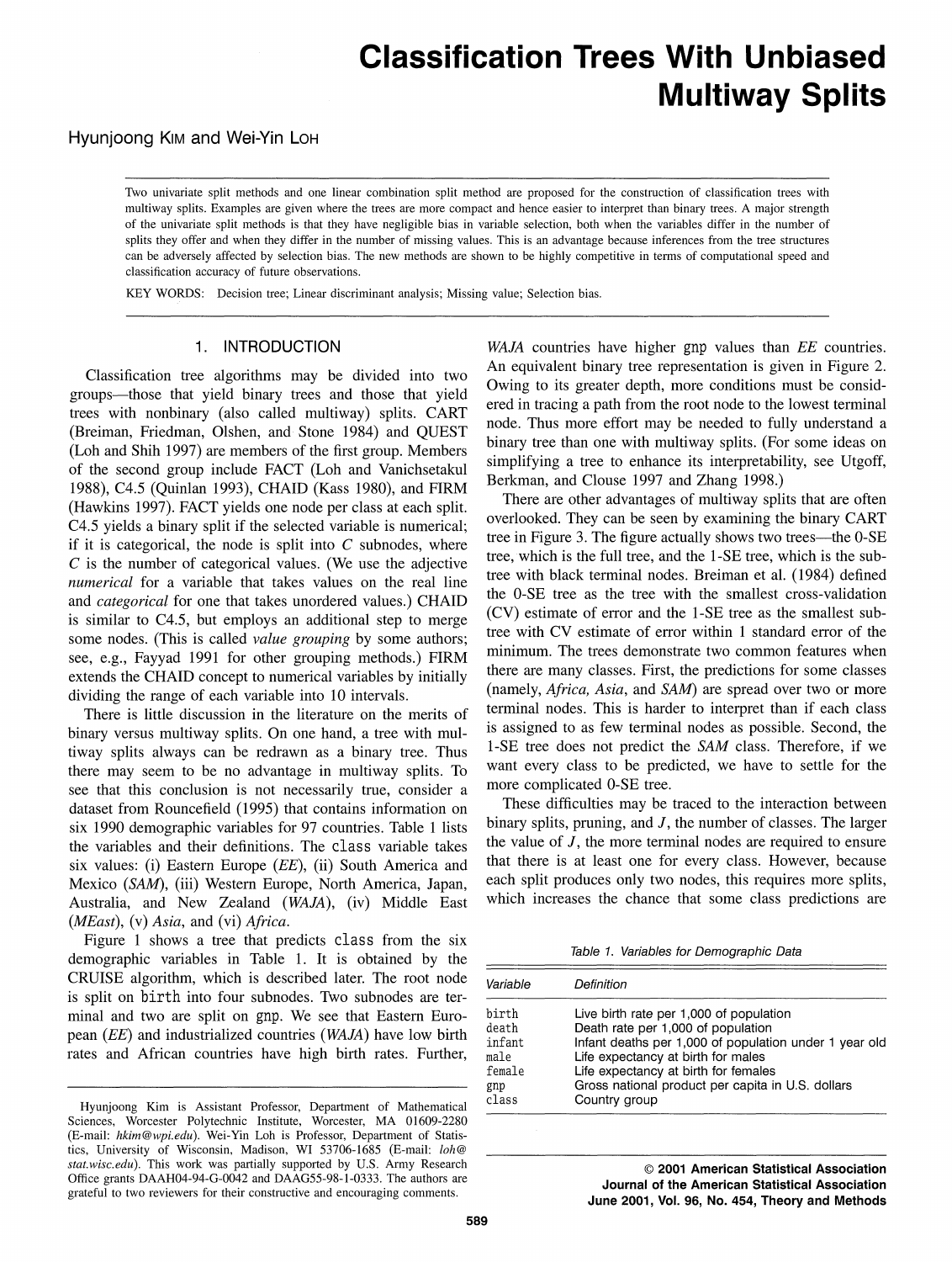# **Classification Trees With Unbiased Multiway Splits**

# Hyunjoong Kim and Wei-Yin Loh

Two univariate split methods and one linear combination split method are proposed for the construction of classification trees with multiway splits. Examples are given where the trees are more compact and hence easier to interpret than binary trees. A major strength of the univariate split methods is that they have negligible bias in variable selection, both when the variables differ in the number of splits they offer and when they differ in the number of missing values. This is an advantage because inferences from the tree structures can be adversely affected by selection bias. The new methods are shown to be highly competitive in terms of computational speed and classification accuracy of future observations.

KEY WORDS: Decision tree; Linear discriminant analysis; Missing value; Selection bias.

# 1. INTRODUCTION

Classification tree algorithms may be divided into two groups-those that yield binary trees and those that yield trees with nonbinary (also called multiway) splits. CART (Breiman, Friedman, Olshen, and Stone 1984) and QUEST (Loh and Shih 1997) are members of the first group. Members of the second group include FACT (Loh and Vanichsetakul 1988), C4.5 (Quinlan 1993), CHAID (Kass 1980), and FIRM (Hawkins 1997). FACT yields one node per class at each split. C4.5 yields a binary split if the selected variable is numerical; if it is categorical, the node is split into  $C$  subnodes, where  $C$  is the number of categorical values. (We use the adjective numerical for a variable that takes values on the real line and *categorical* for one that takes unordered values.) CHAID is similar to C4.5, but employs an additional step to merge some nodes. (This is called *value grouping* by some authors; see, e.g., Fayyad 1991 for other grouping methods.) FIRM extends the CHAID concept to numerical variables by initially dividing the range of each variable into 10 intervals.

There is little discussion in the literature on the merits of binary versus multiway splits. On one hand, a tree with multiway splits always can be redrawn as a binary tree. Thus there may seem to be no advantage in multiway splits. To see that this conclusion is not necessarily true, consider a dataset from Rouncefield (1995) that contains information on six 1990 demographic variables for 97 countries. Table 1 lists the variables and their definitions. The class variable takes six values: (i) Eastern Europe (EE), (ii) South America and Mexico (SAM), (iii) Western Europe, North America, Japan, Australia, and New Zealand (WAJA), (iv) Middle East (*MEast*), (v) Asia, and (vi) Africa.

Figure 1 shows a tree that predicts class from the six demographic variables in Table 1. It is obtained by the CRUISE algorithm, which is described later. The root node is split on birth into four subnodes. Two subnodes are terminal and two are split on gnp. We see that Eastern European (EE) and industrialized countries (WAJA) have low birth rates and African countries have high birth rates. Further,

WAJA countries have higher gnp values than EE countries. An equivalent binary tree representation is given in Figure 2. Owing to its greater depth, more conditions must be considered in tracing a path from the root node to the lowest terminal node. Thus more effort may be needed to fully understand a binary tree than one with multiway splits. (For some ideas on simplifying a tree to enhance its interpretability, see Utgoff, Berkman, and Clouse 1997 and Zhang 1998.)

There are other advantages of multiway splits that are often overlooked. They can be seen by examining the binary CART tree in Figure 3. The figure actually shows two trees—the 0-SE tree, which is the full tree, and the 1-SE tree, which is the subtree with black terminal nodes. Breiman et al. (1984) defined the 0-SE tree as the tree with the smallest cross-validation (CV) estimate of error and the 1-SE tree as the smallest subtree with CV estimate of error within 1 standard error of the minimum. The trees demonstrate two common features when there are many classes. First, the predictions for some classes (namely, *Africa, Asia*, and *SAM*) are spread over two or more terminal nodes. This is harder to interpret than if each class is assigned to as few terminal nodes as possible. Second, the 1-SE tree does not predict the SAM class. Therefore, if we want every class to be predicted, we have to settle for the more complicated 0-SE tree.

These difficulties may be traced to the interaction between binary splits, pruning, and  $J$ , the number of classes. The larger the value of  $J$ , the more terminal nodes are required to ensure that there is at least one for every class. However, because each split produces only two nodes, this requires more splits, which increases the chance that some class predictions are

Table 1. Variables for Demographic Data

| Variable | Definition                                             |
|----------|--------------------------------------------------------|
| birth    | Live birth rate per 1,000 of population                |
| death    | Death rate per 1,000 of population                     |
| infant   | Infant deaths per 1,000 of population under 1 year old |
| male     | Life expectancy at birth for males                     |
| female   | Life expectancy at birth for females                   |
| gnp      | Gross national product per capita in U.S. dollars      |
| class    | Country group                                          |

© 2001 American Statistical Association Journal of the American Statistical Association June 2001, Vol. 96, No. 454, Theory and Methods

Hyunjoong Kim is Assistant Professor, Department of Mathematical Sciences, Worcester Polytechnic Institute, Worcester, MA 01609-2280 (E-mail: hkim@wpi.edu). Wei-Yin Loh is Professor, Department of Statistics, University of Wisconsin, Madison, WI 53706-1685 (E-mail: loh@ stat.wisc.edu). This work was partially supported by U.S. Army Research Office grants DAAH04-94-G-0042 and DAAG55-98-1-0333. The authors are grateful to two reviewers for their constructive and encouraging comments.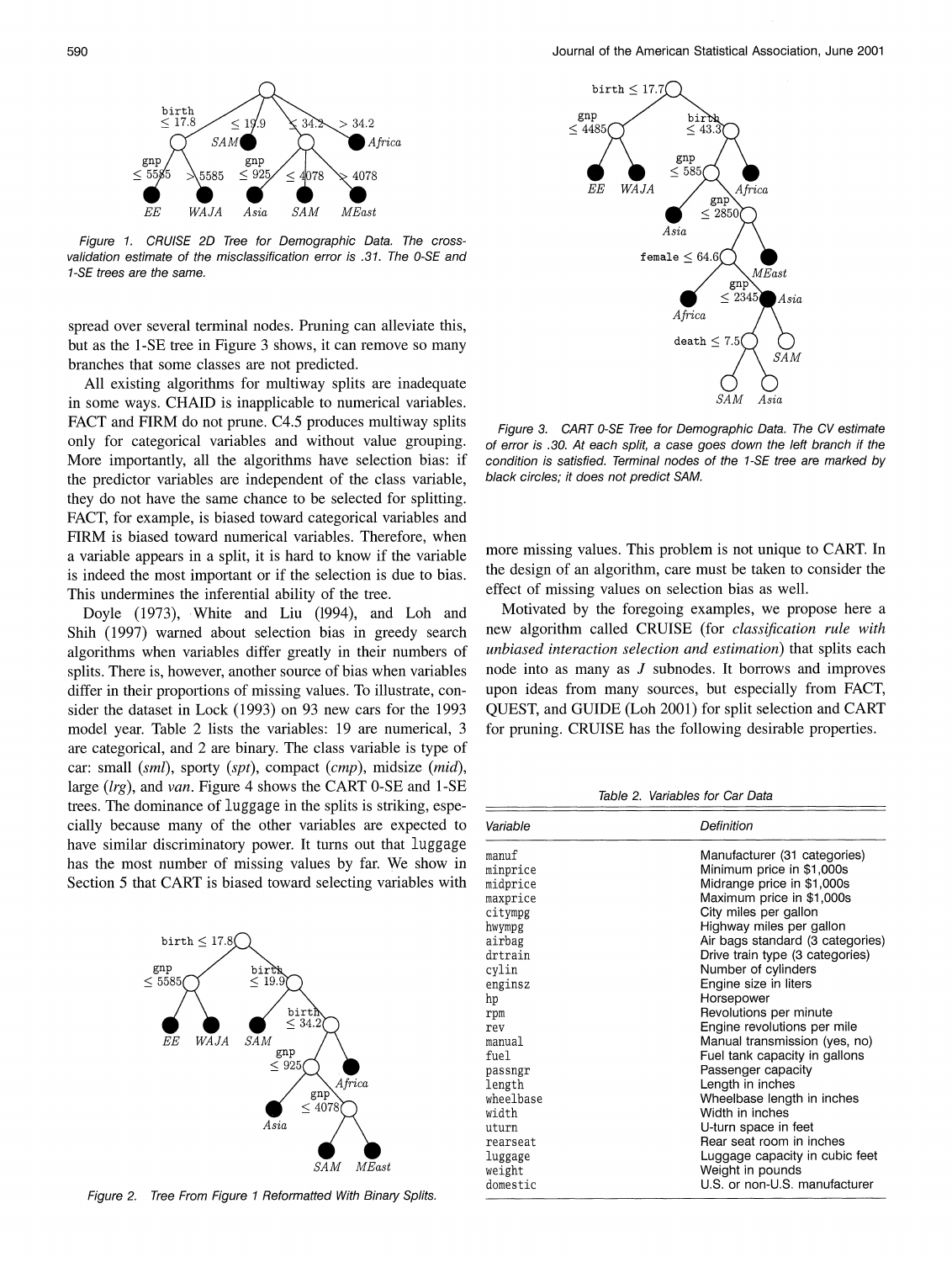

Figure 1. CRUISE 2D Tree for Demographic Data. The crossvalidation estimate of the misclassification error is .31. The 0-SE and 1-SE trees are the same.

spread over several terminal nodes. Pruning can alleviate this, but as the 1-SE tree in Figure 3 shows, it can remove so many branches that some classes are not predicted.

All existing algorithms for multiway splits are inadequate in some ways. CHAID is inapplicable to numerical variables. FACT and FIRM do not prune. C4.5 produces multiway splits only for categorical variables and without value grouping. More importantly, all the algorithms have selection bias: if the predictor variables are independent of the class variable, they do not have the same chance to be selected for splitting. FACT, for example, is biased toward categorical variables and FIRM is biased toward numerical variables. Therefore, when a variable appears in a split, it is hard to know if the variable is indeed the most important or if the selection is due to bias. This undermines the inferential ability of the tree.

Doyle (1973), White and Liu (1994), and Loh and Shih (1997) warned about selection bias in greedy search algorithms when variables differ greatly in their numbers of splits. There is, however, another source of bias when variables differ in their proportions of missing values. To illustrate, consider the dataset in Lock (1993) on 93 new cars for the 1993 model year. Table 2 lists the variables: 19 are numerical, 3 are categorical, and 2 are binary. The class variable is type of car: small (sml), sporty (spt), compact (cmp), midsize (mid), large  $(lrg)$ , and van. Figure 4 shows the CART 0-SE and 1-SE trees. The dominance of luggage in the splits is striking, especially because many of the other variables are expected to have similar discriminatory power. It turns out that luggage has the most number of missing values by far. We show in Section 5 that CART is biased toward selecting variables with



Figure 2. Tree From Figure 1 Reformatted With Binary Splits.



Figure 3. CART 0-SE Tree for Demographic Data. The CV estimate of error is .30. At each split, a case goes down the left branch if the condition is satisfied. Terminal nodes of the 1-SE tree are marked by black circles; it does not predict SAM.

more missing values. This problem is not unique to CART. In the design of an algorithm, care must be taken to consider the effect of missing values on selection bias as well.

Motivated by the foregoing examples, we propose here a new algorithm called CRUISE (for classification rule with unbiased interaction selection and estimation) that splits each node into as many as J subnodes. It borrows and improves upon ideas from many sources, but especially from FACT, QUEST, and GUIDE (Loh 2001) for split selection and CART for pruning. CRUISE has the following desirable properties.

Table 2. Variables for Car Data

| Variable  | Definition                       |
|-----------|----------------------------------|
| manuf     | Manufacturer (31 categories)     |
| minprice  | Minimum price in \$1,000s        |
| midprice  | Midrange price in \$1,000s       |
| maxprice  | Maximum price in \$1,000s        |
| citympg   | City miles per gallon            |
| hwympg    | Highway miles per gallon         |
| airbag    | Air bags standard (3 categories) |
| drtrain   | Drive train type (3 categories)  |
| cylin     | Number of cylinders              |
| enginsz   | Engine size in liters            |
| hp        | Horsepower                       |
| rpm       | Revolutions per minute           |
| rev       | Engine revolutions per mile      |
| manual    | Manual transmission (yes, no)    |
| fuel      | Fuel tank capacity in gallons    |
| passngr   | Passenger capacity               |
| length    | Length in inches                 |
| wheelbase | Wheelbase length in inches       |
| width     | Width in inches                  |
| uturn     | U-turn space in feet             |
| rearseat  | Rear seat room in inches         |
| luggage   | Luggage capacity in cubic feet   |
| weight    | Weight in pounds                 |
| domestic  | U.S. or non-U.S. manufacturer    |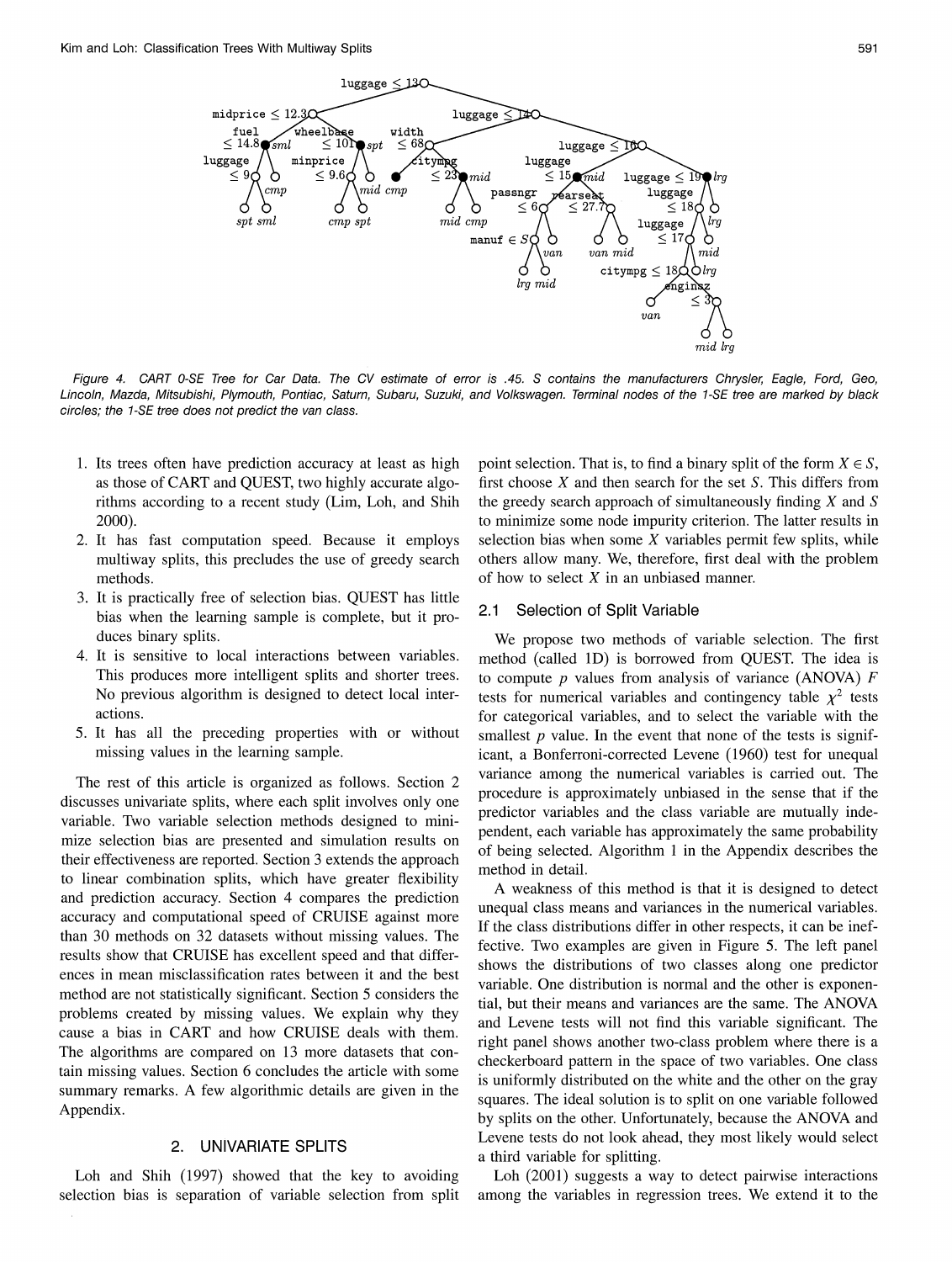

591

Figure 4. CART 0-SE Tree for Car Data. The CV estimate of error is .45. S contains the manufacturers Chrysler, Eagle, Ford, Geo, Lincoln, Mazda, Mitsubishi, Plymouth, Pontiac, Saturn, Subaru, Suzuki, and Volkswagen. Terminal nodes of the 1-SE tree are marked by black circles; the 1-SE tree does not predict the van class.

- 1. Its trees often have prediction accuracy at least as high as those of CART and QUEST, two highly accurate algorithms according to a recent study (Lim, Loh, and Shih 2000).
- 2. It has fast computation speed. Because it employs multiway splits, this precludes the use of greedy search methods.
- 3. It is practically free of selection bias. QUEST has little bias when the learning sample is complete, but it produces binary splits.
- 4. It is sensitive to local interactions between variables. This produces more intelligent splits and shorter trees. No previous algorithm is designed to detect local interactions.
- 5. It has all the preceding properties with or without missing values in the learning sample.

The rest of this article is organized as follows. Section 2 discusses univariate splits, where each split involves only one variable. Two variable selection methods designed to minimize selection bias are presented and simulation results on their effectiveness are reported. Section 3 extends the approach to linear combination splits, which have greater flexibility and prediction accuracy. Section 4 compares the prediction accuracy and computational speed of CRUISE against more than 30 methods on 32 datasets without missing values. The results show that CRUISE has excellent speed and that differences in mean misclassification rates between it and the best method are not statistically significant. Section 5 considers the problems created by missing values. We explain why they cause a bias in CART and how CRUISE deals with them. The algorithms are compared on 13 more datasets that contain missing values. Section 6 concludes the article with some summary remarks. A few algorithmic details are given in the Appendix.

#### UNIVARIATE SPLITS  $2.$

Loh and Shih (1997) showed that the key to avoiding selection bias is separation of variable selection from split point selection. That is, to find a binary split of the form  $X \in S$ , first choose  $X$  and then search for the set  $S$ . This differs from the greedy search approach of simultaneously finding  $X$  and  $S$ to minimize some node impurity criterion. The latter results in selection bias when some  $X$  variables permit few splits, while others allow many. We, therefore, first deal with the problem of how to select  $X$  in an unbiased manner.

#### $2.1$ Selection of Split Variable

We propose two methods of variable selection. The first method (called 1D) is borrowed from QUEST. The idea is to compute  $p$  values from analysis of variance (ANOVA)  $F$ tests for numerical variables and contingency table  $\chi^2$  tests for categorical variables, and to select the variable with the smallest  $p$  value. In the event that none of the tests is significant, a Bonferroni-corrected Levene (1960) test for unequal variance among the numerical variables is carried out. The procedure is approximately unbiased in the sense that if the predictor variables and the class variable are mutually independent, each variable has approximately the same probability of being selected. Algorithm 1 in the Appendix describes the method in detail.

A weakness of this method is that it is designed to detect unequal class means and variances in the numerical variables. If the class distributions differ in other respects, it can be ineffective. Two examples are given in Figure 5. The left panel shows the distributions of two classes along one predictor variable. One distribution is normal and the other is exponential, but their means and variances are the same. The ANOVA and Levene tests will not find this variable significant. The right panel shows another two-class problem where there is a checkerboard pattern in the space of two variables. One class is uniformly distributed on the white and the other on the gray squares. The ideal solution is to split on one variable followed by splits on the other. Unfortunately, because the ANOVA and Levene tests do not look ahead, they most likely would select a third variable for splitting.

Loh (2001) suggests a way to detect pairwise interactions among the variables in regression trees. We extend it to the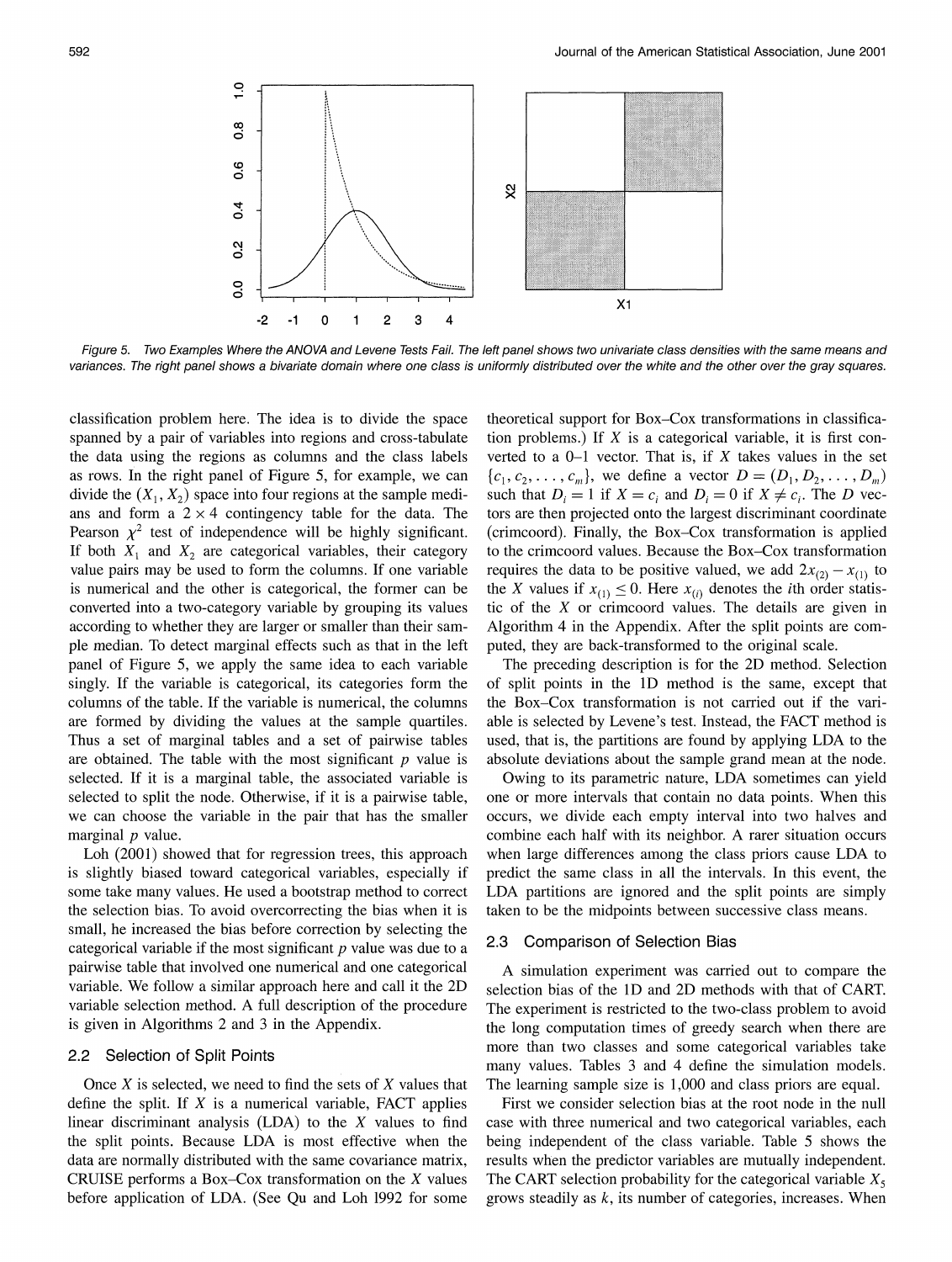

Figure 5. Two Examples Where the ANOVA and Levene Tests Fail. The left panel shows two univariate class densities with the same means and variances. The right panel shows a bivariate domain where one class is uniformly distributed over the white and the other over the gray squares.

classification problem here. The idea is to divide the space spanned by a pair of variables into regions and cross-tabulate the data using the regions as columns and the class labels as rows. In the right panel of Figure 5, for example, we can divide the  $(X_1, X_2)$  space into four regions at the sample medians and form a  $2 \times 4$  contingency table for the data. The Pearson  $\chi^2$  test of independence will be highly significant. If both  $X_1$  and  $X_2$  are categorical variables, their category value pairs may be used to form the columns. If one variable is numerical and the other is categorical, the former can be converted into a two-category variable by grouping its values according to whether they are larger or smaller than their sample median. To detect marginal effects such as that in the left panel of Figure 5, we apply the same idea to each variable singly. If the variable is categorical, its categories form the columns of the table. If the variable is numerical, the columns are formed by dividing the values at the sample quartiles. Thus a set of marginal tables and a set of pairwise tables are obtained. The table with the most significant  $p$  value is selected. If it is a marginal table, the associated variable is selected to split the node. Otherwise, if it is a pairwise table, we can choose the variable in the pair that has the smaller marginal  $p$  value.

Loh (2001) showed that for regression trees, this approach is slightly biased toward categorical variables, especially if some take many values. He used a bootstrap method to correct the selection bias. To avoid overcorrecting the bias when it is small, he increased the bias before correction by selecting the categorical variable if the most significant  $p$  value was due to a pairwise table that involved one numerical and one categorical variable. We follow a similar approach here and call it the 2D variable selection method. A full description of the procedure is given in Algorithms 2 and 3 in the Appendix.

# 2.2 Selection of Split Points

Once  $X$  is selected, we need to find the sets of  $X$  values that define the split. If  $X$  is a numerical variable, FACT applies linear discriminant analysis  $(LDA)$  to the X values to find the split points. Because LDA is most effective when the data are normally distributed with the same covariance matrix, CRUISE performs a Box–Cox transformation on the  $X$  values before application of LDA. (See Qu and Loh 1992 for some

theoretical support for Box-Cox transformations in classification problems.) If  $X$  is a categorical variable, it is first converted to a  $0-1$  vector. That is, if X takes values in the set  $\{c_1, c_2, \ldots, c_m\}$ , we define a vector  $D = (D_1, D_2, \ldots, D_m)$ such that  $D_i = 1$  if  $X = c_i$  and  $D_i = 0$  if  $X \neq c_i$ . The D vectors are then projected onto the largest discriminant coordinate (crimcoord). Finally, the Box-Cox transformation is applied to the crimcoord values. Because the Box-Cox transformation requires the data to be positive valued, we add  $2x_{(2)} - x_{(1)}$  to the X values if  $x_{(1)} \leq 0$ . Here  $x_{(i)}$  denotes the *i*th order statistic of the  $X$  or crimcoord values. The details are given in Algorithm 4 in the Appendix. After the split points are computed, they are back-transformed to the original scale.

The preceding description is for the 2D method. Selection of split points in the 1D method is the same, except that the Box–Cox transformation is not carried out if the variable is selected by Levene's test. Instead, the FACT method is used, that is, the partitions are found by applying LDA to the absolute deviations about the sample grand mean at the node.

Owing to its parametric nature, LDA sometimes can yield one or more intervals that contain no data points. When this occurs, we divide each empty interval into two halves and combine each half with its neighbor. A rarer situation occurs when large differences among the class priors cause LDA to predict the same class in all the intervals. In this event, the LDA partitions are ignored and the split points are simply taken to be the midpoints between successive class means.

#### $2.3$ **Comparison of Selection Bias**

A simulation experiment was carried out to compare the selection bias of the 1D and 2D methods with that of CART. The experiment is restricted to the two-class problem to avoid the long computation times of greedy search when there are more than two classes and some categorical variables take many values. Tables 3 and 4 define the simulation models. The learning sample size is 1,000 and class priors are equal.

First we consider selection bias at the root node in the null case with three numerical and two categorical variables, each being independent of the class variable. Table 5 shows the results when the predictor variables are mutually independent. The CART selection probability for the categorical variable  $X_5$ grows steadily as  $k$ , its number of categories, increases. When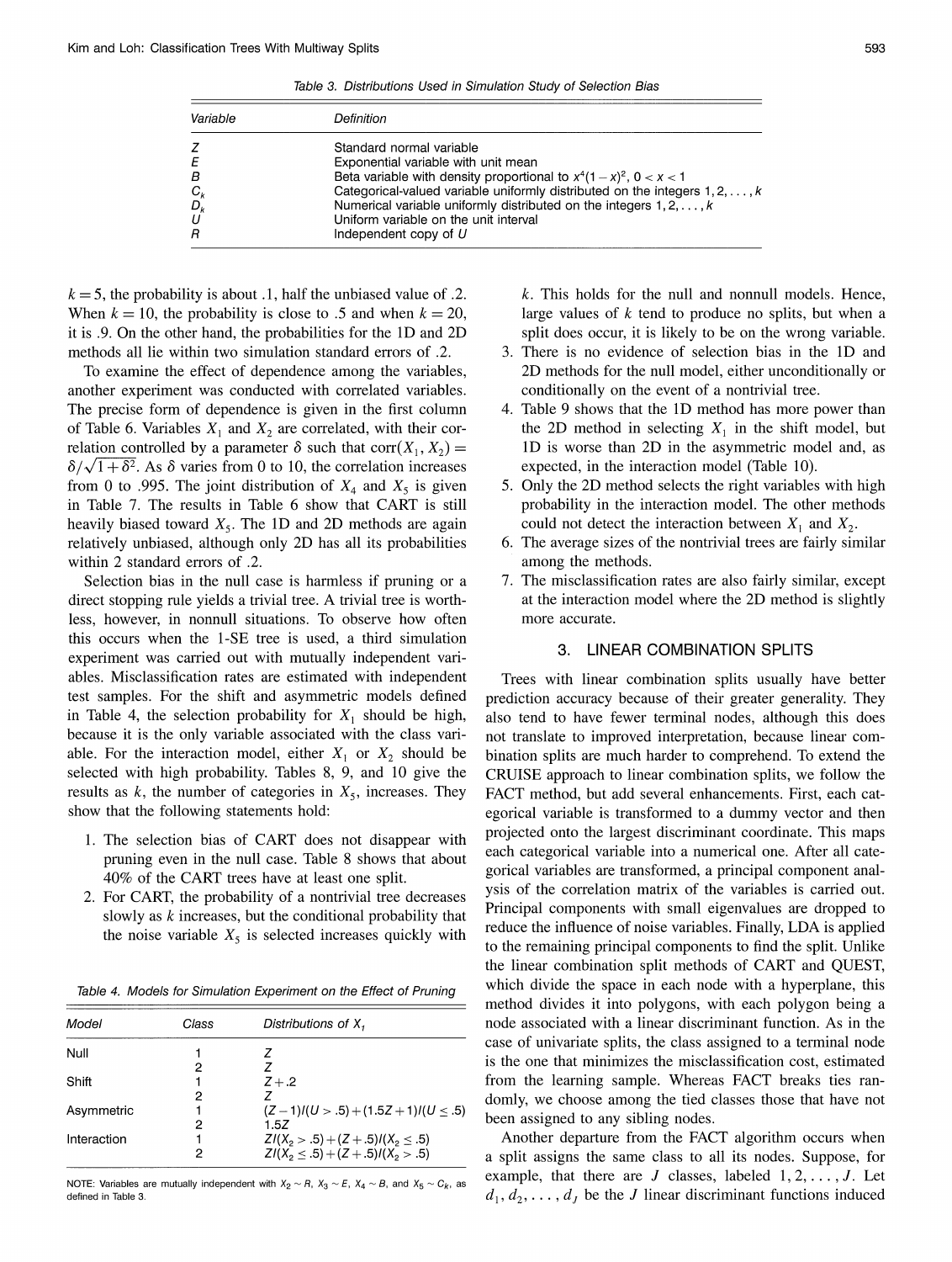Table 3. Distributions Used in Simulation Study of Selection Bias

| Variable | Definition                                                                          |
|----------|-------------------------------------------------------------------------------------|
| z        | Standard normal variable                                                            |
| E        | Exponential variable with unit mean                                                 |
| B        | Beta variable with density proportional to $x^4(1-x)^2$ , $0 < x < 1$               |
| $C_{k}$  | Categorical-valued variable uniformly distributed on the integers $1, 2, \ldots, k$ |
| $D_k$    | Numerical variable uniformly distributed on the integers $1, 2, \ldots, k$          |
| U        | Uniform variable on the unit interval                                               |
| R        | Independent copy of U                                                               |

 $k = 5$ , the probability is about .1, half the unbiased value of .2. When  $k = 10$ , the probability is close to .5 and when  $k = 20$ , it is .9. On the other hand, the probabilities for the 1D and 2D methods all lie within two simulation standard errors of .2.

To examine the effect of dependence among the variables, another experiment was conducted with correlated variables. The precise form of dependence is given in the first column of Table 6. Variables  $X_1$  and  $X_2$  are correlated, with their correlation controlled by a parameter  $\delta$  such that corr $(X_1, X_2)$  =  $\delta/\sqrt{1+\delta^2}$ . As  $\delta$  varies from 0 to 10, the correlation increases from 0 to .995. The joint distribution of  $X_4$  and  $X_5$  is given in Table 7. The results in Table 6 show that CART is still heavily biased toward  $X_5$ . The 1D and 2D methods are again relatively unbiased, although only 2D has all its probabilities within 2 standard errors of .2.

Selection bias in the null case is harmless if pruning or a direct stopping rule yields a trivial tree. A trivial tree is worthless, however, in nonnull situations. To observe how often this occurs when the 1-SE tree is used, a third simulation experiment was carried out with mutually independent variables. Misclassification rates are estimated with independent test samples. For the shift and asymmetric models defined in Table 4, the selection probability for  $X_1$  should be high, because it is the only variable associated with the class variable. For the interaction model, either  $X_1$  or  $X_2$  should be selected with high probability. Tables 8, 9, and 10 give the results as  $k$ , the number of categories in  $X_5$ , increases. They show that the following statements hold:

- 1. The selection bias of CART does not disappear with pruning even in the null case. Table 8 shows that about 40% of the CART trees have at least one split.
- 2. For CART, the probability of a nontrivial tree decreases slowly as  $k$  increases, but the conditional probability that the noise variable  $X_5$  is selected increases quickly with

Table 4. Models for Simulation Experiment on the Effect of Pruning

| Model       | Class | Distributions of X,                    |
|-------------|-------|----------------------------------------|
| Null        |       |                                        |
|             | 2     |                                        |
| Shift       |       | $Z + .2$                               |
|             | 2     |                                        |
| Asymmetric  |       | $(Z-1)/(U > .5) + (1.5Z+1)/(U < .5)$   |
|             | 2     | 1.57                                   |
| Interaction |       | $ZI(X_2 > .5) + (Z + .5)I(X_2 \le .5)$ |
|             | 2     | $ZI(X_2 \le .5) + (Z + .5)I(X_2 > .5)$ |

NOTE: Variables are mutually independent with  $X_2 \sim R$ ,  $X_3 \sim E$ ,  $X_4 \sim B$ , and  $X_5 \sim C_k$ , as defined in Table 3.

 $k$ . This holds for the null and nonnull models. Hence, large values of  $k$  tend to produce no splits, but when a split does occur, it is likely to be on the wrong variable.

- 3. There is no evidence of selection bias in the 1D and 2D methods for the null model, either unconditionally or conditionally on the event of a nontrivial tree.
- 4. Table 9 shows that the 1D method has more power than the 2D method in selecting  $X_1$  in the shift model, but 1D is worse than 2D in the asymmetric model and, as expected, in the interaction model (Table 10).
- 5. Only the 2D method selects the right variables with high probability in the interaction model. The other methods could not detect the interaction between  $X_1$  and  $X_2$ .
- 6. The average sizes of the nontrivial trees are fairly similar among the methods.
- 7. The misclassification rates are also fairly similar, except at the interaction model where the 2D method is slightly more accurate.

#### **LINEAR COMBINATION SPLITS**  $\mathbf{B}$

Trees with linear combination splits usually have better prediction accuracy because of their greater generality. They also tend to have fewer terminal nodes, although this does not translate to improved interpretation, because linear combination splits are much harder to comprehend. To extend the CRUISE approach to linear combination splits, we follow the FACT method, but add several enhancements. First, each categorical variable is transformed to a dummy vector and then projected onto the largest discriminant coordinate. This maps each categorical variable into a numerical one. After all categorical variables are transformed, a principal component analysis of the correlation matrix of the variables is carried out. Principal components with small eigenvalues are dropped to reduce the influence of noise variables. Finally, LDA is applied to the remaining principal components to find the split. Unlike the linear combination split methods of CART and QUEST, which divide the space in each node with a hyperplane, this method divides it into polygons, with each polygon being a node associated with a linear discriminant function. As in the case of univariate splits, the class assigned to a terminal node is the one that minimizes the misclassification cost, estimated from the learning sample. Whereas FACT breaks ties randomly, we choose among the tied classes those that have not been assigned to any sibling nodes.

Another departure from the FACT algorithm occurs when a split assigns the same class to all its nodes. Suppose, for example, that there are  $J$  classes, labeled  $1, 2, \ldots, J$ . Let  $d_1, d_2, \ldots, d_t$  be the J linear discriminant functions induced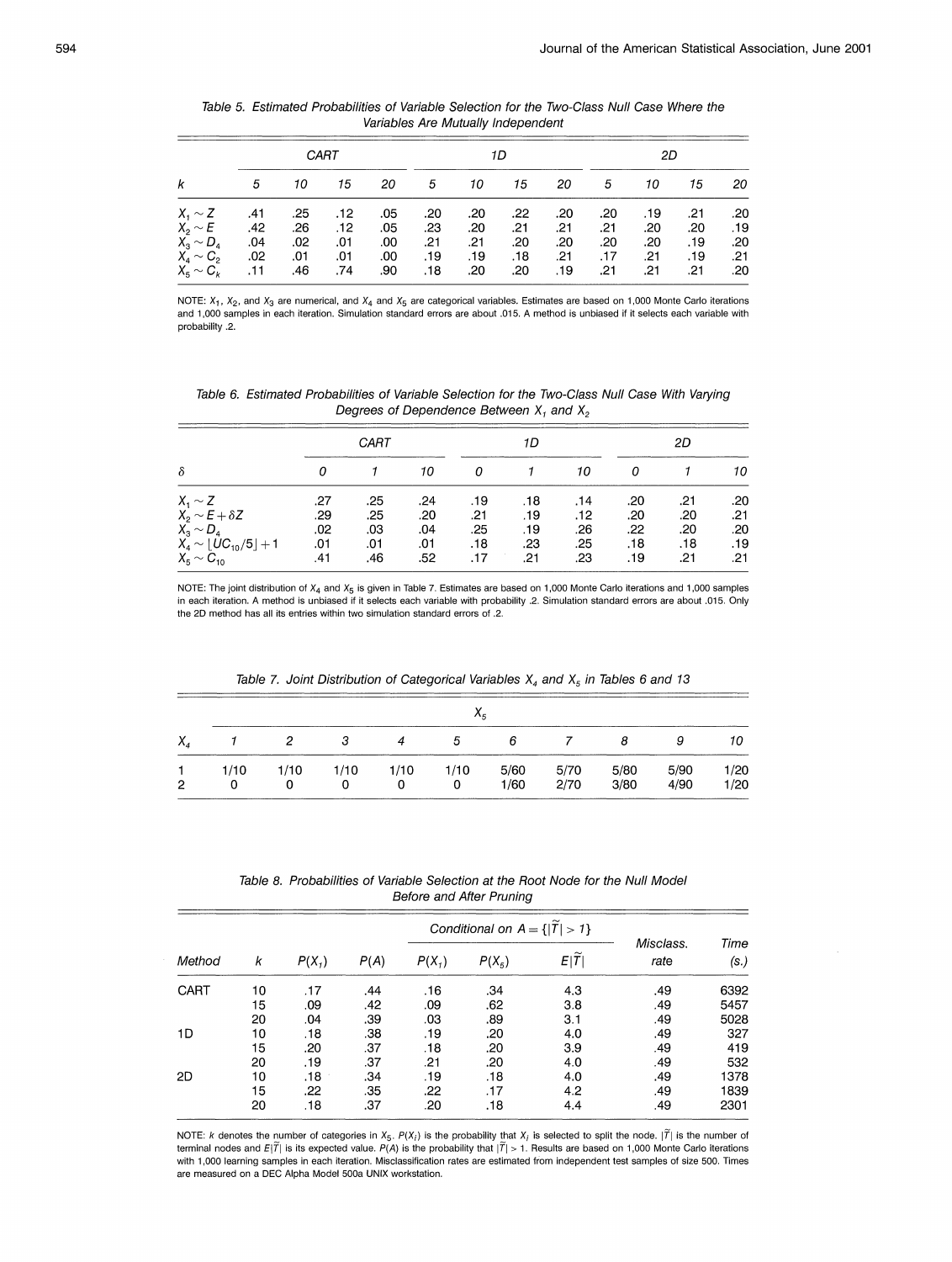|                | CART |     |     |     |     |     | 1D  |     |     | 2D  |     |     |  |
|----------------|------|-----|-----|-----|-----|-----|-----|-----|-----|-----|-----|-----|--|
|                | 5    | 10  | 15  | 20  | 5   | 10  | 15  | 20  | 5   | 10  | 15  | 20  |  |
| $X_1 \sim Z$   | .41  | .25 | .12 | .05 | .20 | .20 | .22 | .20 | .20 | .19 | .21 | .20 |  |
| $X_2 \sim E$   | .42  | .26 | .12 | .05 | .23 | .20 | .21 | .21 | .21 | .20 | .20 | .19 |  |
| $X_3 \sim D_4$ | .04  | .02 | .01 | .00 | .21 | .21 | .20 | .20 | .20 | .20 | .19 | .20 |  |
| $X_4 \sim C_2$ | .02  | .01 | .01 | .00 | .19 | .19 | .18 | .21 | .17 | .21 | .19 | .21 |  |
| $X_5 \sim C_k$ | .11  | .46 | .74 | .90 | .18 | .20 | .20 | .19 | .21 | .21 | .21 | .20 |  |

Table 5. Estimated Probabilities of Variable Selection for the Two-Class Null Case Where the Variables Are Mutually Independent

NOTE:  $X_1$ ,  $X_2$ , and  $X_3$  are numerical, and  $X_4$  and  $X_5$  are categorical variables. Estimates are based on 1,000 Monte Carlo iterations and 1,000 samples in each iteration. Simulation standard errors are about .015. A method is unbiased if it selects each variable with probability .2.

Table 6. Estimated Probabilities of Variable Selection for the Two-Class Null Case With Varying Degrees of Dependence Between  $X_1$  and  $X_2$ 

|                                                                |            | CART       |            |              | 1D         |            |            | 2D         |            |
|----------------------------------------------------------------|------------|------------|------------|--------------|------------|------------|------------|------------|------------|
| $\delta$                                                       |            |            | 10         | 0            |            | 10         |            |            | 10         |
| $X_1 \sim Z$                                                   | .27        | .25        | .24        | .19          | .18        | .14        | .20        | .21        | .20        |
| $X_2 \sim E + \delta Z$<br>$X_3 \sim D_4$                      | .29<br>.02 | .25<br>.03 | .20<br>.04 | $-21$<br>.25 | .19<br>.19 | .12<br>.26 | .20<br>.22 | .20<br>.20 | .21<br>.20 |
| $X_4 \sim \lfloor U C_{10}/5 \rfloor + 1$<br>$X_5 \sim C_{10}$ | .01<br>.41 | .01<br>.46 | .01<br>.52 | .18<br>.17   | .23<br>.21 | .25<br>.23 | .18<br>.19 | .18<br>.21 | .19<br>.21 |

NOTE: The joint distribution of  $X_4$  and  $X_5$  is given in Table 7. Estimates are based on 1,000 Monte Carlo iterations and 1,000 samples in each iteration. A method is unbiased if it selects each variable with probability .2. Simulation standard errors are about .015. Only the 2D method has all its entries within two simulation standard errors of .2.

|    | $X_{\kappa}$ |           |           |           |           |              |                |              |              |              |  |  |
|----|--------------|-----------|-----------|-----------|-----------|--------------|----------------|--------------|--------------|--------------|--|--|
| Χ, |              | 2         | -3        | 4         | 5         | 6            | $\overline{7}$ | 8            | 9            | 10           |  |  |
| 2  | 1/10<br>0    | 1/10<br>0 | 1/10<br>0 | 1/10<br>0 | 1/10<br>0 | 5/60<br>1/60 | 5/70<br>2/70   | 5/80<br>3/80 | 5/90<br>4/90 | 1/20<br>1/20 |  |  |

Table 7. Joint Distribution of Categorical Variables  $X_4$  and  $X_5$  in Tables 6 and 13

Table 8. Probabilities of Variable Selection at the Root Node for the Null Model **Before and After Pruning** 

| Method |    |          |      |          | Conditional on $A = \{ T  > 1\}$ |                              |                   |              |
|--------|----|----------|------|----------|----------------------------------|------------------------------|-------------------|--------------|
|        | k  | $P(X_1)$ | P(A) | $P(X_1)$ | $P(X_5)$                         | $\tilde{\phantom{a}}$<br>E T | Misclass.<br>rate | Time<br>(s.) |
| CART   | 10 | .17      | .44  | .16      | .34                              | 4.3                          | .49               | 6392         |
|        | 15 | .09      | .42  | .09      | .62                              | 3.8                          | .49               | 5457         |
|        | 20 | .04      | .39  | .03      | .89                              | 3.1                          | .49               | 5028         |
| 1D     | 10 | .18      | .38  | .19      | .20                              | 4.0                          | .49               | 327          |
|        | 15 | .20      | .37  | .18      | .20                              | 3.9                          | .49               | 419          |
|        | 20 | .19      | .37  | .21      | .20                              | 4.0                          | .49               | 532          |
| 2D     | 10 | .18      | .34  | .19      | .18                              | 4.0                          | .49               | 1378         |
|        | 15 | .22      | .35  | .22      | .17                              | 4.2                          | .49               | 1839         |
|        | 20 | .18      | .37  | .20      | .18                              | 4.4                          | .49               | 2301         |

NOTE: k denotes the number of categories in  $X_5$ .  $P(X_i)$  is the probability that  $X_i$  is selected to split the node. | $\widetilde{P}$ | is the number of terminal nodes and  $E|\tilde{7}|$  is its expected value.  $P(A)$  is the probability that  $|\tilde{7}| > 1$ . Results are based on 1,000 Monte Carlo iterations with 1,000 learning samples in each iteration. Misclassification rates are estimated from independent test samples of size 500. Times are measured on a DEC Alpha Model 500a UNIX workstation.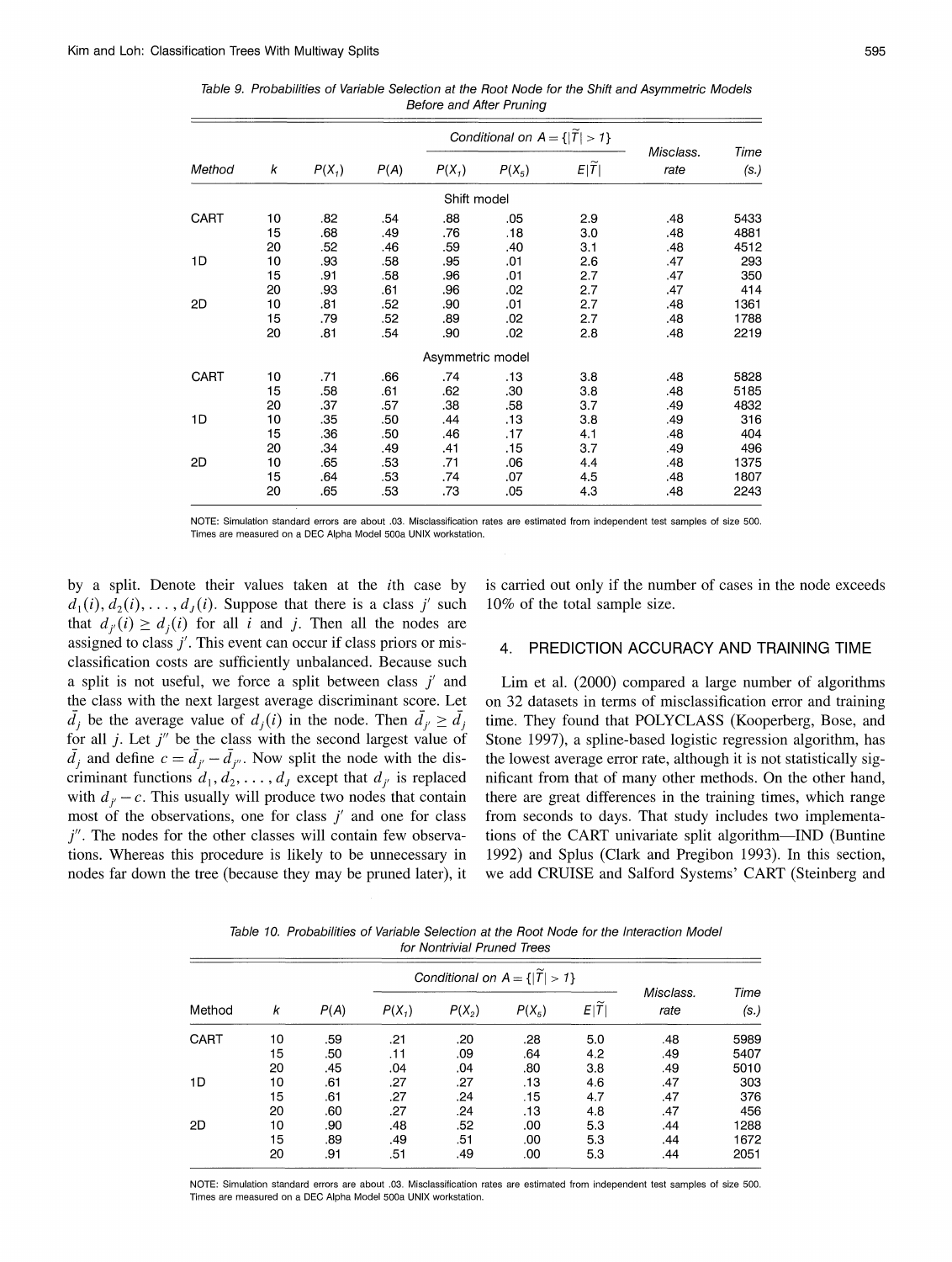|        |    |          |      |                  | Conditional on $A = \{ \tilde{T}  > 1\}$ |                    |                   | Time<br>(s.) |
|--------|----|----------|------|------------------|------------------------------------------|--------------------|-------------------|--------------|
| Method | k  | $P(X_1)$ | P(A) | $P(X_1)$         | $P(X_5)$                                 | $E \widetilde{T} $ | Misclass.<br>rate |              |
|        |    |          |      | Shift model      |                                          |                    |                   |              |
| CART   | 10 | .82      | .54  | .88              | .05                                      | 2.9                | .48               | 5433         |
|        | 15 | .68      | .49  | .76              | 18                                       | 3.0                | .48               | 4881         |
|        | 20 | .52      | .46  | .59              | .40                                      | 3.1                | .48               | 4512         |
| 1D     | 10 | .93      | .58  | .95              | .01                                      | 2.6                | .47               | 293          |
|        | 15 | .91      | .58  | .96              | .01                                      | 2.7                | .47               | 350          |
|        | 20 | .93      | .61  | .96              | .02                                      | 2.7                | .47               | 414          |
| 2D     | 10 | .81      | .52  | .90              | .01                                      | 2.7                | .48               | 1361         |
|        | 15 | .79      | .52  | .89              | .02                                      | 2.7                | .48               | 1788         |
|        | 20 | .81      | .54  | .90              | .02                                      | 2.8                | .48               | 2219         |
|        |    |          |      | Asymmetric model |                                          |                    |                   |              |
| CART   | 10 | .71      | .66  | .74              | .13                                      | 3.8                | .48               | 5828         |
|        | 15 | .58      | .61  | .62              | .30                                      | 3.8                | .48               | 5185         |
|        | 20 | .37      | .57  | .38              | .58                                      | 3.7                | .49               | 4832         |
| 1D     | 10 | .35      | .50  | .44              | .13                                      | 3.8                | .49               | 316          |
|        | 15 | .36      | .50  | .46              | .17                                      | 4.1                | .48               | 404          |
|        | 20 | .34      | .49  | .41              | .15                                      | 3.7                | .49               | 496          |
| 2D     | 10 | .65      | .53  | .71              | .06                                      | 4.4                | .48               | 1375         |
|        | 15 | .64      | .53  | .74              | .07                                      | 4.5                | .48               | 1807         |
|        | 20 | .65      | .53  | .73              | .05                                      | 4.3                | .48               | 2243         |

Table 9. Probabilities of Variable Selection at the Root Node for the Shift and Asymmetric Models **Before and After Pruning** 

NOTE: Simulation standard errors are about .03. Misclassification rates are estimated from independent test samples of size 500. Times are measured on a DEC Alpha Model 500a UNIX workstation.

by a split. Denote their values taken at the *i*th case by  $d_1(i), d_2(i), \ldots, d_i(i)$ . Suppose that there is a class j' such that  $d_{i}(i) \geq d_i(i)$  for all i and j. Then all the nodes are assigned to class  $j'$ . This event can occur if class priors or misclassification costs are sufficiently unbalanced. Because such a split is not useful, we force a split between class  $j'$  and the class with the next largest average discriminant score. Let  $\overline{d}_i$  be the average value of  $d_i(i)$  in the node. Then  $\overline{d}_{i'} \geq \overline{d}_i$ for all  $j$ . Let  $j''$  be the class with the second largest value of  $\overline{d}_i$  and define  $c = \overline{d}_{i'} - \overline{d}_{i''}$ . Now split the node with the discriminant functions  $d_1, d_2, \ldots, d_J$  except that  $d_{i'}$  is replaced with  $d_{i} - c$ . This usually will produce two nodes that contain most of the observations, one for class  $j'$  and one for class  $j''$ . The nodes for the other classes will contain few observations. Whereas this procedure is likely to be unnecessary in nodes far down the tree (because they may be pruned later), it

is carried out only if the number of cases in the node exceeds 10% of the total sample size.

#### PREDICTION ACCURACY AND TRAINING TIME  $\overline{4}$ .

Lim et al. (2000) compared a large number of algorithms on 32 datasets in terms of misclassification error and training time. They found that POLYCLASS (Kooperberg, Bose, and Stone 1997), a spline-based logistic regression algorithm, has the lowest average error rate, although it is not statistically significant from that of many other methods. On the other hand, there are great differences in the training times, which range from seconds to days. That study includes two implementations of the CART univariate split algorithm—IND (Buntine 1992) and Splus (Clark and Pregibon 1993). In this section, we add CRUISE and Salford Systems' CART (Steinberg and

Table 10. Probabilities of Variable Selection at the Root Node for the Interaction Model for Nontrivial Pruned Trees

| Method | k  | P(A) | $P(X_1)$ | $P(X_2)$ | $P(X_5)$ | E[T] | Misclass.<br>rate | Time<br>(s.) |
|--------|----|------|----------|----------|----------|------|-------------------|--------------|
| CART   | 10 | .59  | .21      | .20      | .28      | 5.0  | .48               | 5989         |
|        | 15 | .50  | .11      | .09      | .64      | 4.2  | .49               | 5407         |
|        | 20 | .45  | .04      | .04      | .80      | 3.8  | .49               | 5010         |
| 1D     | 10 | .61  | .27      | .27      | .13      | 4.6  | .47               | 303          |
|        | 15 | .61  | .27      | .24      | .15      | 4.7  | .47               | 376          |
|        | 20 | .60  | .27      | .24      | .13      | 4.8  | .47               | 456          |
| 2D     | 10 | .90  | .48      | .52      | .00      | 5.3  | .44               | 1288         |
|        | 15 | .89  | .49      | .51      | .00      | 5.3  | .44               | 1672         |
|        | 20 | .91  | .51      | .49      | .00      | 5.3  | .44               | 2051         |

NOTE: Simulation standard errors are about .03. Misclassification rates are estimated from independent test samples of size 500. Times are measured on a DEC Alpha Model 500a UNIX workstation.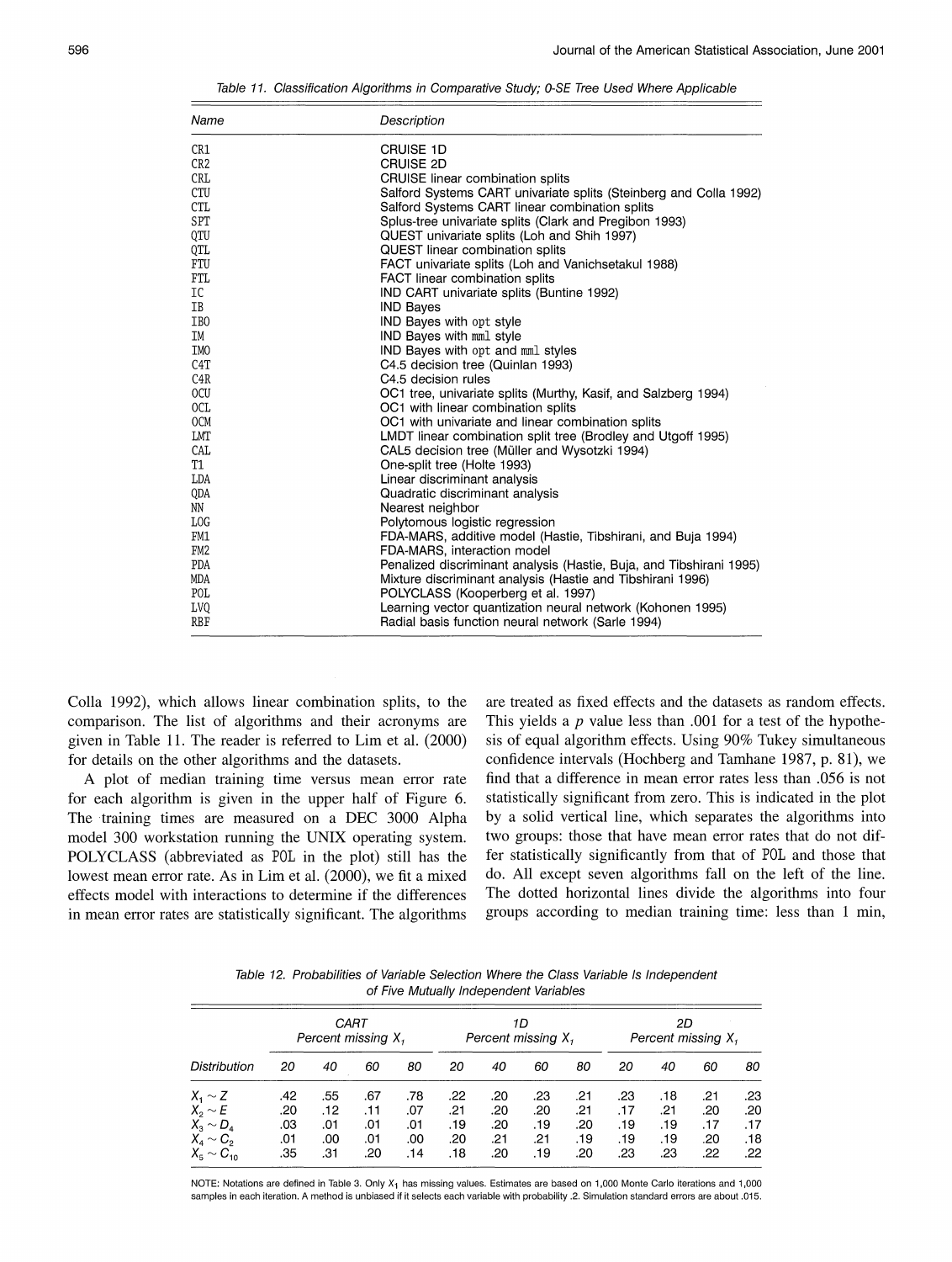Table 11. Classification Algorithms in Comparative Study; 0-SE Tree Used Where Applicable

| Name             | Description                                                         |
|------------------|---------------------------------------------------------------------|
| CR1              | <b>CRUISE 1D</b>                                                    |
| CR <sub>2</sub>  | CRUISE 2D                                                           |
| CRL              | CRUISE linear combination splits                                    |
| CTU              | Salford Systems CART univariate splits (Steinberg and Colla 1992)   |
| <b>CTL</b>       | Salford Systems CART linear combination splits                      |
| SPT              | Splus-tree univariate splits (Clark and Pregibon 1993)              |
| QTU              | QUEST univariate splits (Loh and Shih 1997)                         |
| QTL              | <b>QUEST</b> linear combination splits                              |
| FTU              | FACT univariate splits (Loh and Vanichsetakul 1988)                 |
| FTL              | FACT linear combination splits                                      |
| IC               | IND CART univariate splits (Buntine 1992)                           |
| IB               | <b>IND Bayes</b>                                                    |
| IB <sub>0</sub>  | IND Bayes with opt style                                            |
| IM               | IND Bayes with mml style                                            |
| IM <sub>0</sub>  | IND Bayes with opt and mml styles                                   |
| C <sub>4</sub> T | C4.5 decision tree (Quinlan 1993)                                   |
| C4R              | C4.5 decision rules                                                 |
| 0CU              | OC1 tree, univariate splits (Murthy, Kasif, and Salzberg 1994)      |
| OCL              | OC1 with linear combination splits                                  |
| 0 <sub>CM</sub>  | OC1 with univariate and linear combination splits                   |
| LMT              | LMDT linear combination split tree (Brodley and Utgoff 1995)        |
| CAL              | CAL5 decision tree (Müller and Wysotzki 1994)                       |
| T1               | One-split tree (Holte 1993)                                         |
| LDA              | Linear discriminant analysis                                        |
| QDA              | Quadratic discriminant analysis                                     |
| NN               | Nearest neighbor                                                    |
| LOG              | Polytomous logistic regression                                      |
| FM1              | FDA-MARS, additive model (Hastie, Tibshirani, and Buja 1994)        |
| FM <sub>2</sub>  | FDA-MARS, interaction model                                         |
| PDA              | Penalized discriminant analysis (Hastie, Buja, and Tibshirani 1995) |
| MDA              | Mixture discriminant analysis (Hastie and Tibshirani 1996)          |
| POL              | POLYCLASS (Kooperberg et al. 1997)                                  |
| <b>LVQ</b>       | Learning vector quantization neural network (Kohonen 1995)          |
| RBF              | Radial basis function neural network (Sarle 1994)                   |

Colla 1992), which allows linear combination splits, to the comparison. The list of algorithms and their acronyms are given in Table 11. The reader is referred to Lim et al. (2000) for details on the other algorithms and the datasets.

A plot of median training time versus mean error rate for each algorithm is given in the upper half of Figure 6. The training times are measured on a DEC 3000 Alpha model 300 workstation running the UNIX operating system. POLYCLASS (abbreviated as POL in the plot) still has the lowest mean error rate. As in Lim et al. (2000), we fit a mixed effects model with interactions to determine if the differences in mean error rates are statistically significant. The algorithms

are treated as fixed effects and the datasets as random effects. This yields a  $p$  value less than .001 for a test of the hypothesis of equal algorithm effects. Using 90% Tukey simultaneous confidence intervals (Hochberg and Tamhane 1987, p. 81), we find that a difference in mean error rates less than .056 is not statistically significant from zero. This is indicated in the plot by a solid vertical line, which separates the algorithms into two groups: those that have mean error rates that do not differ statistically significantly from that of POL and those that do. All except seven algorithms fall on the left of the line. The dotted horizontal lines divide the algorithms into four groups according to median training time: less than 1 min,

Table 12. Probabilities of Variable Selection Where the Class Variable Is Independent of Five Mutually Independent Variables

| Distribution        |     | Percent missing X, | CART |     |     |     | 1D<br>Percent missing $X_i$ |     | 2D<br>Percent missing X, |     |     |     |
|---------------------|-----|--------------------|------|-----|-----|-----|-----------------------------|-----|--------------------------|-----|-----|-----|
|                     | 20  | 40                 | 60   | 80  | 20  | 40  | 60                          | 80  | 20                       | 40  | 60  | 80  |
| $X_1 \sim Z$        | .42 | .55                | .67  | .78 | .22 | .20 | .23                         | .21 | .23                      | .18 | .21 | .23 |
| $X_2 \sim E$        | .20 | .12                | .11  | .07 | .21 | .20 | .20                         | .21 | .17                      | .21 | .20 | .20 |
| $X_3 \sim D_4$      | .03 | .01                | .01  | .01 | .19 | .20 | .19                         | .20 | .19                      | .19 | .17 | .17 |
| $X_4 \sim C_2$      | .01 | .00                | .01  | .00 | .20 | .21 | .21                         | .19 | .19                      | .19 | .20 | .18 |
| $X_{5} \sim C_{10}$ | .35 | .31                | .20  | .14 | .18 | .20 | .19                         | .20 | .23                      | .23 | .22 | .22 |

NOTE: Notations are defined in Table 3. Only X<sub>1</sub> has missing values. Estimates are based on 1,000 Monte Carlo iterations and 1,000 samples in each iteration. A method is unbiased if it selects each variable with probability .2. Simulation standard errors are about .015.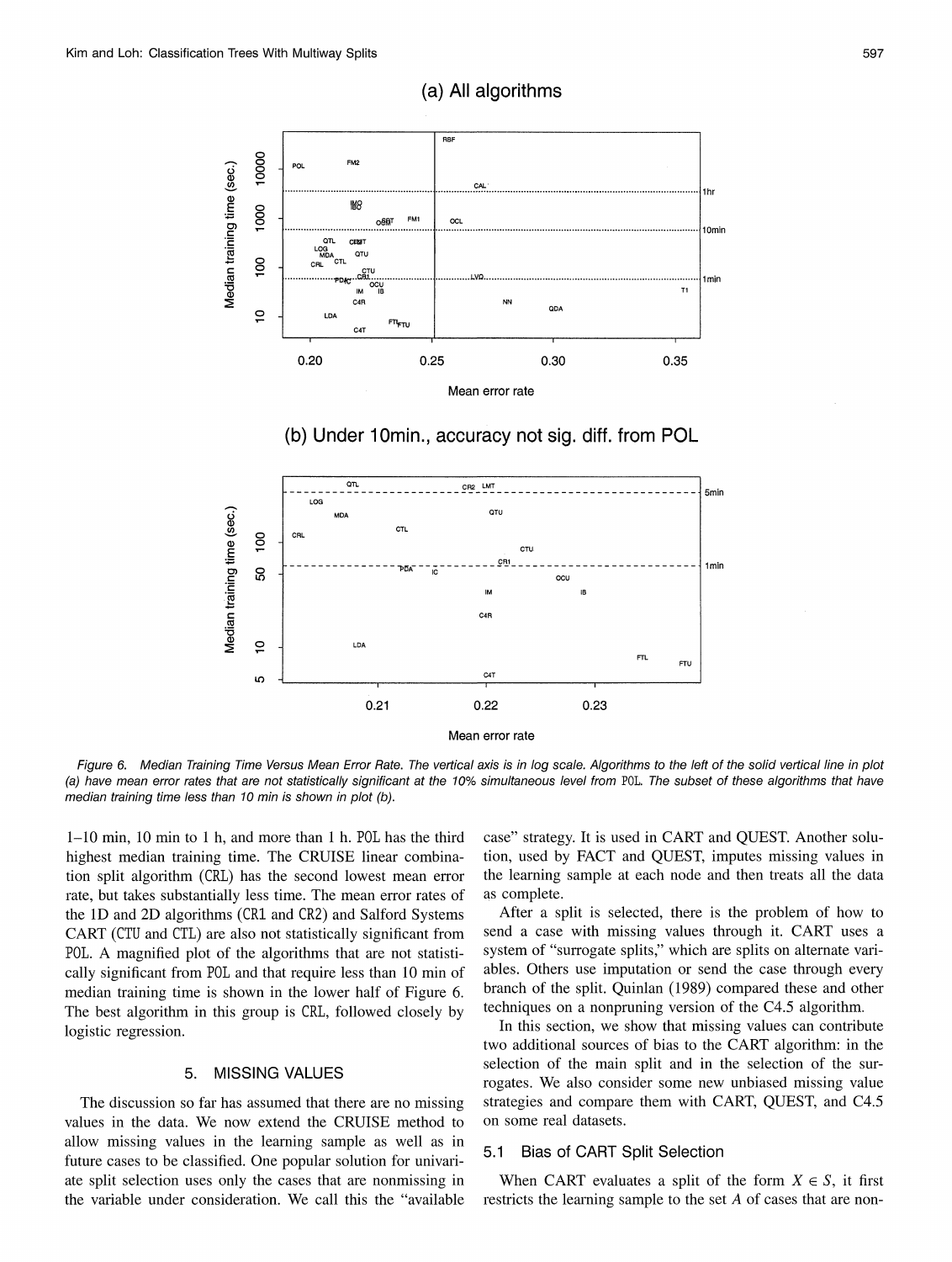

(a) All algorithms

(b) Under 10min., accuracy not sig. diff. from POL



Figure 6. Median Training Time Versus Mean Error Rate. The vertical axis is in log scale. Algorithms to the left of the solid vertical line in plot (a) have mean error rates that are not statistically significant at the 10% simultaneous level from POL. The subset of these algorithms that have median training time less than 10 min is shown in plot (b).

1–10 min, 10 min to 1 h, and more than 1 h. POL has the third highest median training time. The CRUISE linear combination split algorithm (CRL) has the second lowest mean error rate, but takes substantially less time. The mean error rates of the 1D and 2D algorithms (CR1 and CR2) and Salford Systems CART (CTU and CTL) are also not statistically significant from POL. A magnified plot of the algorithms that are not statistically significant from P0L and that require less than 10 min of median training time is shown in the lower half of Figure 6. The best algorithm in this group is CRL, followed closely by logistic regression.

#### **MISSING VALUES** 5.

The discussion so far has assumed that there are no missing values in the data. We now extend the CRUISE method to allow missing values in the learning sample as well as in future cases to be classified. One popular solution for univariate split selection uses only the cases that are nonmissing in the variable under consideration. We call this the "available

case" strategy. It is used in CART and QUEST. Another solution, used by FACT and QUEST, imputes missing values in the learning sample at each node and then treats all the data as complete.

After a split is selected, there is the problem of how to send a case with missing values through it. CART uses a system of "surrogate splits," which are splits on alternate variables. Others use imputation or send the case through every branch of the split. Quinlan (1989) compared these and other techniques on a nonpruning version of the C4.5 algorithm.

In this section, we show that missing values can contribute two additional sources of bias to the CART algorithm: in the selection of the main split and in the selection of the surrogates. We also consider some new unbiased missing value strategies and compare them with CART, QUEST, and C4.5 on some real datasets.

## 5.1 Bias of CART Split Selection

When CART evaluates a split of the form  $X \in S$ , it first restricts the learning sample to the set A of cases that are non-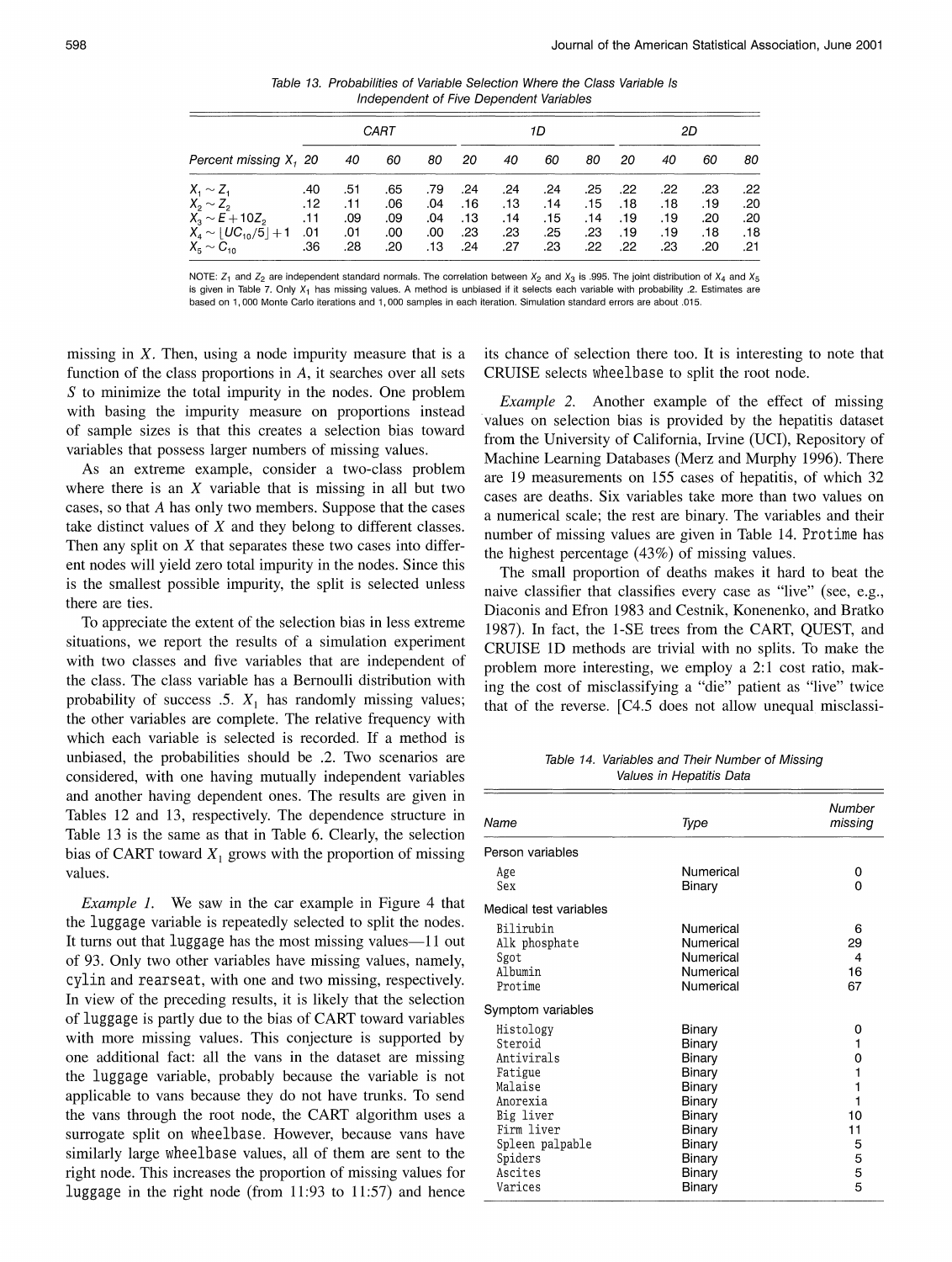Table 13. Probabilities of Variable Selection Where the Class Variable Is Independent of Five Dependent Variables

|                            |     |     | CART |     |     |      | 1D  |     | 2D  |     |     |     |  |
|----------------------------|-----|-----|------|-----|-----|------|-----|-----|-----|-----|-----|-----|--|
| Percent missing X, 20      |     | 40  | 60   | 80  | 20  | 40   | 60  | 80  | 20  | 40  | 60  | 80  |  |
| $X_1 \sim Z_1$             | .40 | .51 | .65  | .79 | .24 | .24  | .24 | .25 | .22 | .22 | .23 | .22 |  |
| $X_2 \sim Z_2$             | .12 | .11 | .06  | .04 | .16 | .13  | .14 | .15 | .18 | .18 | .19 | .20 |  |
| $X_3 \sim E + 10Z_2$       | .11 | .09 | .09  | .04 | .13 | . 14 | .15 | .14 | .19 | .19 | .20 | .20 |  |
| $X_4 \sim  UC_{10}/5  + 1$ | .01 | .01 | .00  | .00 | .23 | .23  | .25 | .23 | .19 | .19 | .18 | .18 |  |
| $X_{5} \sim C_{10}$        | .36 | .28 | .20  | .13 | .24 | .27  | .23 | .22 | .22 | .23 | .20 | .21 |  |

NOTE:  $Z_1$  and  $Z_2$  are independent standard normals. The correlation between  $X_2$  and  $X_3$  is .995. The joint distribution of  $X_4$  and  $X_5$ is given in Table 7. Only  $X_1$  has missing values. A method is unbiased if it selects each variable with probability .2. Estimates are based on 1,000 Monte Carlo iterations and 1,000 samples in each iteration. Simulation standard errors are about .015.

missing in  $X$ . Then, using a node impurity measure that is a function of the class proportions in  $A$ , it searches over all sets  $S$  to minimize the total impurity in the nodes. One problem with basing the impurity measure on proportions instead of sample sizes is that this creates a selection bias toward variables that possess larger numbers of missing values.

As an extreme example, consider a two-class problem where there is an  $X$  variable that is missing in all but two cases, so that A has only two members. Suppose that the cases take distinct values of  $X$  and they belong to different classes. Then any split on  $X$  that separates these two cases into different nodes will yield zero total impurity in the nodes. Since this is the smallest possible impurity, the split is selected unless there are ties.

To appreciate the extent of the selection bias in less extreme situations, we report the results of a simulation experiment with two classes and five variables that are independent of the class. The class variable has a Bernoulli distribution with probability of success .5.  $X_1$  has randomly missing values; the other variables are complete. The relative frequency with which each variable is selected is recorded. If a method is unbiased, the probabilities should be .2. Two scenarios are considered, with one having mutually independent variables and another having dependent ones. The results are given in Tables 12 and 13, respectively. The dependence structure in Table 13 is the same as that in Table 6. Clearly, the selection bias of CART toward  $X_1$  grows with the proportion of missing values.

*Example 1.* We saw in the car example in Figure 4 that the luggage variable is repeatedly selected to split the nodes. It turns out that luggage has the most missing values—11 out of 93. Only two other variables have missing values, namely, cylin and rearseat, with one and two missing, respectively. In view of the preceding results, it is likely that the selection of luggage is partly due to the bias of CART toward variables with more missing values. This conjecture is supported by one additional fact: all the vans in the dataset are missing the luggage variable, probably because the variable is not applicable to vans because they do not have trunks. To send the vans through the root node, the CART algorithm uses a surrogate split on wheelbase. However, because vans have similarly large wheelbase values, all of them are sent to the right node. This increases the proportion of missing values for luggage in the right node (from 11:93 to 11:57) and hence

its chance of selection there too. It is interesting to note that CRUISE selects wheelbase to split the root node.

*Example 2.* Another example of the effect of missing values on selection bias is provided by the hepatitis dataset from the University of California, Irvine (UCI), Repository of Machine Learning Databases (Merz and Murphy 1996). There are 19 measurements on 155 cases of hepatitis, of which 32 cases are deaths. Six variables take more than two values on a numerical scale; the rest are binary. The variables and their number of missing values are given in Table 14. Protime has the highest percentage (43%) of missing values.

The small proportion of deaths makes it hard to beat the naive classifier that classifies every case as "live" (see, e.g., Diaconis and Efron 1983 and Cestnik, Konenenko, and Bratko 1987). In fact, the 1-SE trees from the CART, QUEST, and CRUISE 1D methods are trivial with no splits. To make the problem more interesting, we employ a 2:1 cost ratio, making the cost of misclassifying a "die" patient as "live" twice that of the reverse. [C4.5 does not allow unequal misclassi-

Table 14. Variables and Their Number of Missing Values in Hepatitis Data

| Name                                                                                                                                                | Type                                                                                                                 | Number<br>missing                                     |
|-----------------------------------------------------------------------------------------------------------------------------------------------------|----------------------------------------------------------------------------------------------------------------------|-------------------------------------------------------|
| Person variables                                                                                                                                    |                                                                                                                      |                                                       |
| Age<br>Sex                                                                                                                                          | Numerical<br>Binary                                                                                                  | 0<br>0                                                |
| Medical test variables                                                                                                                              |                                                                                                                      |                                                       |
| Bilirubin<br>Alk phosphate<br>Sgot<br>Albumin<br>Protime                                                                                            | Numerical<br>Numerical<br>Numerical<br>Numerical<br>Numerical                                                        | 6<br>29<br>4<br>16<br>67                              |
| Symptom variables                                                                                                                                   |                                                                                                                      |                                                       |
| Histology<br>Steroid<br>Antivirals<br>Fatigue<br>Malaise<br>Anorexia<br>Big liver<br>Firm liver<br>Spleen palpable<br>Spiders<br>Ascites<br>Varices | Binary<br>Binary<br>Binary<br>Binary<br>Binary<br>Binary<br>Binary<br>Binary<br>Binary<br>Binary<br>Binary<br>Binary | 0<br>1<br>0<br>1<br>1<br>10<br>11<br>5<br>5<br>5<br>5 |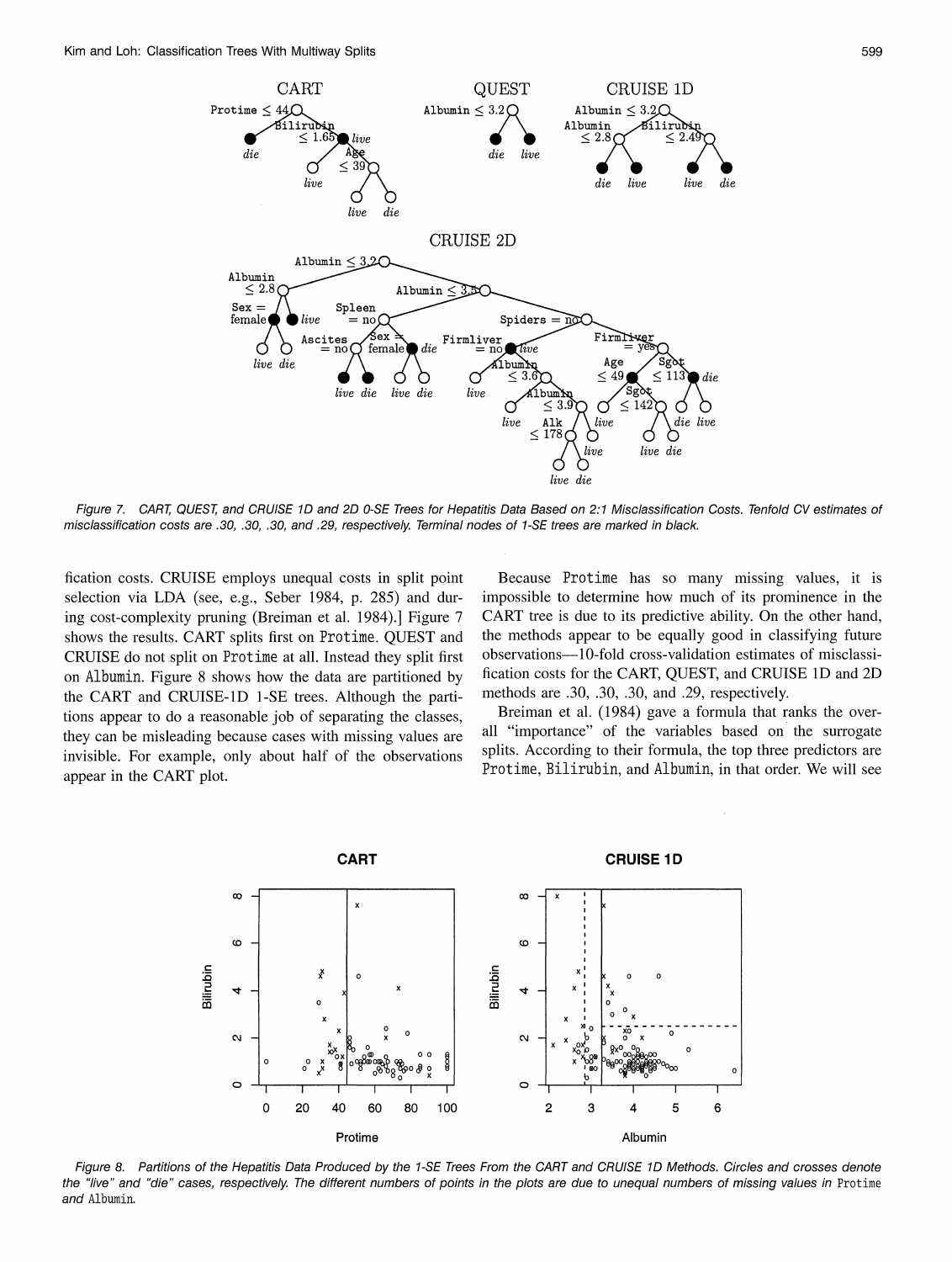

Figure 7. CART, QUEST, and CRUISE 1D and 2D 0-SE Trees for Hepatitis Data Based on 2:1 Misclassification Costs. Tenfold CV estimates of misclassification costs are .30, .30, .30, and .29, respectively. Terminal nodes of 1-SE trees are marked in black.

fication costs. CRUISE employs unequal costs in split point selection via LDA (see, e.g., Seber 1984, p. 285) and during cost-complexity pruning (Breiman et al. 1984).] Figure 7 shows the results. CART splits first on Protime. QUEST and CRUISE do not split on Protime at all. Instead they split first on Albumin. Figure 8 shows how the data are partitioned by the CART and CRUISE-1D 1-SE trees. Although the partitions appear to do a reasonable job of separating the classes, they can be misleading because cases with missing values are invisible. For example, only about half of the observations appear in the CART plot.

Because Protime has so many missing values, it is impossible to determine how much of its prominence in the CART tree is due to its predictive ability. On the other hand, the methods appear to be equally good in classifying future observations-10-fold cross-validation estimates of misclassification costs for the CART, QUEST, and CRUISE 1D and 2D methods are .30, .30, .30, and .29, respectively.

Breiman et al. (1984) gave a formula that ranks the overall "importance" of the variables based on the surrogate splits. According to their formula, the top three predictors are Protime, Bilirubin, and Albumin, in that order. We will see



Figure 8. Partitions of the Hepatitis Data Produced by the 1-SE Trees From the CART and CRUISE 1D Methods. Circles and crosses denote the "live" and "die" cases, respectively. The different numbers of points in the plots are due to unequal numbers of missing values in Protime and Albumin.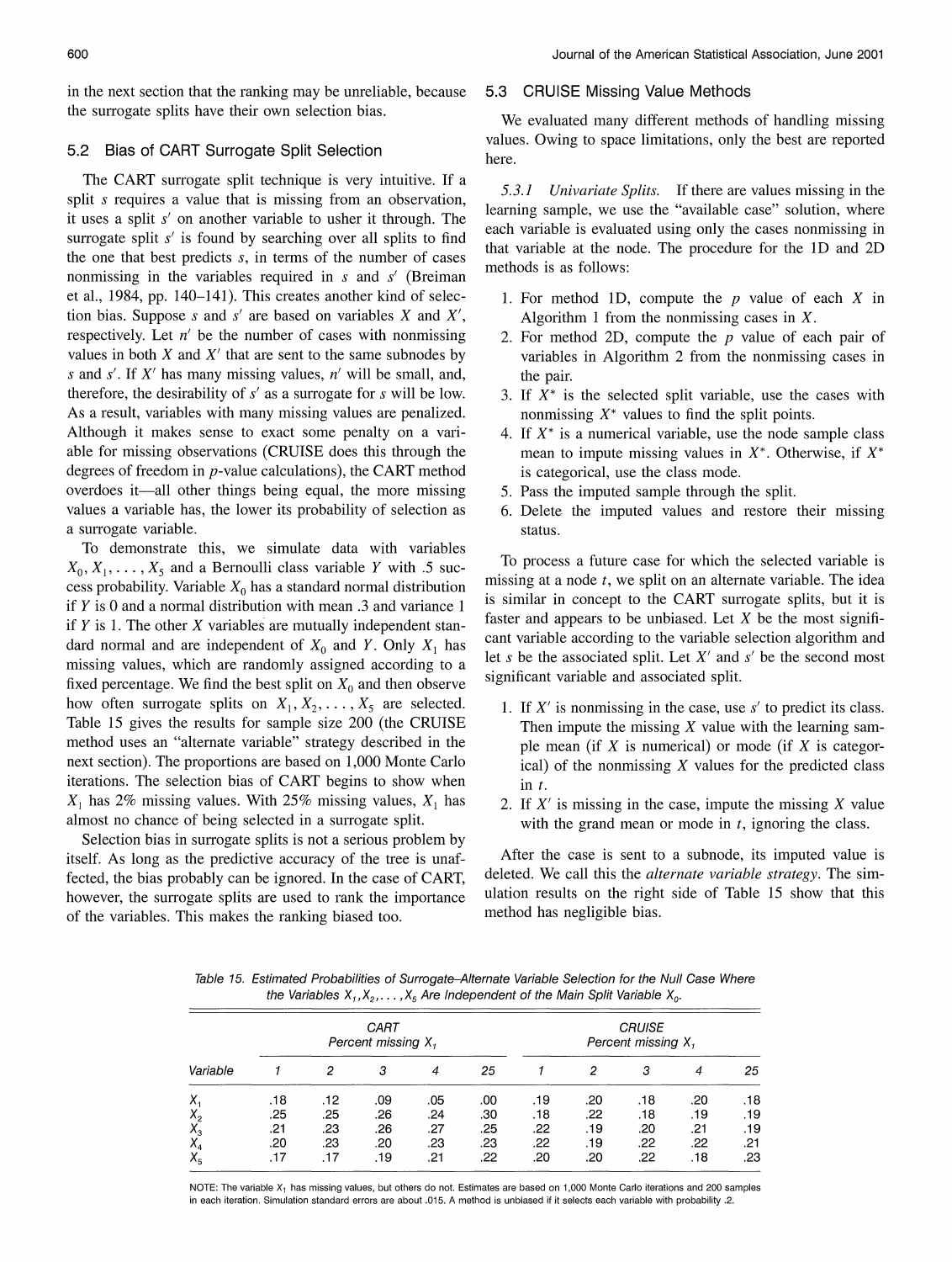in the next section that the ranking may be unreliable, because the surrogate splits have their own selection bias.

#### Bias of CART Surrogate Split Selection  $5.2$

The CART surrogate split technique is very intuitive. If a split s requires a value that is missing from an observation, it uses a split  $s'$  on another variable to usher it through. The surrogate split s' is found by searching over all splits to find the one that best predicts s, in terms of the number of cases nonmissing in the variables required in  $s$  and  $s'$  (Breiman et al., 1984, pp. 140-141). This creates another kind of selection bias. Suppose s and s' are based on variables X and  $X'$ , respectively. Let  $n'$  be the number of cases with nonmissing values in both  $X$  and  $X'$  that are sent to the same subnodes by s and s'. If X' has many missing values,  $n'$  will be small, and, therefore, the desirability of  $s'$  as a surrogate for  $s$  will be low. As a result, variables with many missing values are penalized. Although it makes sense to exact some penalty on a variable for missing observations (CRUISE does this through the degrees of freedom in  $p$ -value calculations), the CART method overdoes it—all other things being equal, the more missing values a variable has, the lower its probability of selection as a surrogate variable.

To demonstrate this, we simulate data with variables  $X_0, X_1, \ldots, X_5$  and a Bernoulli class variable Y with .5 success probability. Variable  $X_0$  has a standard normal distribution if  $Y$  is 0 and a normal distribution with mean  $.3$  and variance 1 if  $Y$  is 1. The other  $X$  variables are mutually independent standard normal and are independent of  $X_0$  and Y. Only  $X_1$  has missing values, which are randomly assigned according to a fixed percentage. We find the best split on  $X_0$  and then observe how often surrogate splits on  $X_1, X_2, \ldots, X_5$  are selected. Table 15 gives the results for sample size 200 (the CRUISE method uses an "alternate variable" strategy described in the next section). The proportions are based on 1,000 Monte Carlo iterations. The selection bias of CART begins to show when  $X_1$  has 2% missing values. With 25% missing values,  $X_1$  has almost no chance of being selected in a surrogate split.

Selection bias in surrogate splits is not a serious problem by itself. As long as the predictive accuracy of the tree is unaffected, the bias probably can be ignored. In the case of CART, however, the surrogate splits are used to rank the importance of the variables. This makes the ranking biased too.

# 5.3 CRUISE Missing Value Methods

We evaluated many different methods of handling missing values. Owing to space limitations, only the best are reported here.

5.3.1 Univariate Splits. If there are values missing in the learning sample, we use the "available case" solution, where each variable is evaluated using only the cases nonmissing in that variable at the node. The procedure for the 1D and 2D methods is as follows:

- 1. For method 1D, compute the  $p$  value of each  $X$  in Algorithm 1 from the nonmissing cases in  $X$ .
- 2. For method 2D, compute the  $p$  value of each pair of variables in Algorithm 2 from the nonmissing cases in the pair.
- 3. If  $X^*$  is the selected split variable, use the cases with nonmissing  $X^*$  values to find the split points.
- 4. If  $X^*$  is a numerical variable, use the node sample class mean to impute missing values in  $X^*$ . Otherwise, if  $X^*$ is categorical, use the class mode.
- 5. Pass the imputed sample through the split.
- 6. Delete the imputed values and restore their missing status.

To process a future case for which the selected variable is missing at a node  $t$ , we split on an alternate variable. The idea is similar in concept to the CART surrogate splits, but it is faster and appears to be unbiased. Let  $X$  be the most significant variable according to the variable selection algorithm and let s be the associated split. Let  $X'$  and s' be the second most significant variable and associated split.

- 1. If  $X'$  is nonmissing in the case, use  $s'$  to predict its class. Then impute the missing  $X$  value with the learning sample mean (if  $X$  is numerical) or mode (if  $X$  is categorical) of the nonmissing  $X$  values for the predicted class  $\text{in } t$ .
- 2. If  $X'$  is missing in the case, impute the missing X value with the grand mean or mode in  $t$ , ignoring the class.

After the case is sent to a subnode, its imputed value is deleted. We call this the *alternate variable strategy*. The simulation results on the right side of Table 15 show that this method has negligible bias.

Table 15. Estimated Probabilities of Surrogate-Alternate Variable Selection for the Null Case Where the Variables  $X_1, X_2, \ldots, X_5$  Are Independent of the Main Split Variable  $X_0$ .

|          |     |     | CART<br>Percent missing $X_1$ |     | <b>CRUISE</b><br>Percent missing $X_i$ |     |     |     |     |     |  |
|----------|-----|-----|-------------------------------|-----|----------------------------------------|-----|-----|-----|-----|-----|--|
| Variable |     | 2   | 3                             |     | 25                                     |     | 2   | з   | 4   | 25  |  |
| Χ.       | .18 | .12 | .09                           | .05 | .00                                    | .19 | .20 | .18 | .20 | .18 |  |
| $X_{2}$  | .25 | .25 | .26                           | .24 | .30                                    | .18 | .22 | .18 | .19 | .19 |  |
| $X^3$    | .21 | .23 | .26                           | .27 | .25                                    | .22 | .19 | .20 | .21 | .19 |  |
|          | .20 | .23 | .20                           | .23 | .23                                    | .22 | .19 | .22 | .22 | .21 |  |
| $X_{5}$  | .17 |     | .19                           | .21 | .22                                    | .20 | .20 | .22 | .18 | .23 |  |

NOTE: The variable X<sub>1</sub> has missing values, but others do not. Estimates are based on 1,000 Monte Carlo iterations and 200 samples in each iteration. Simulation standard errors are about .015. A method is unbiased if it selects each variable with probability .2.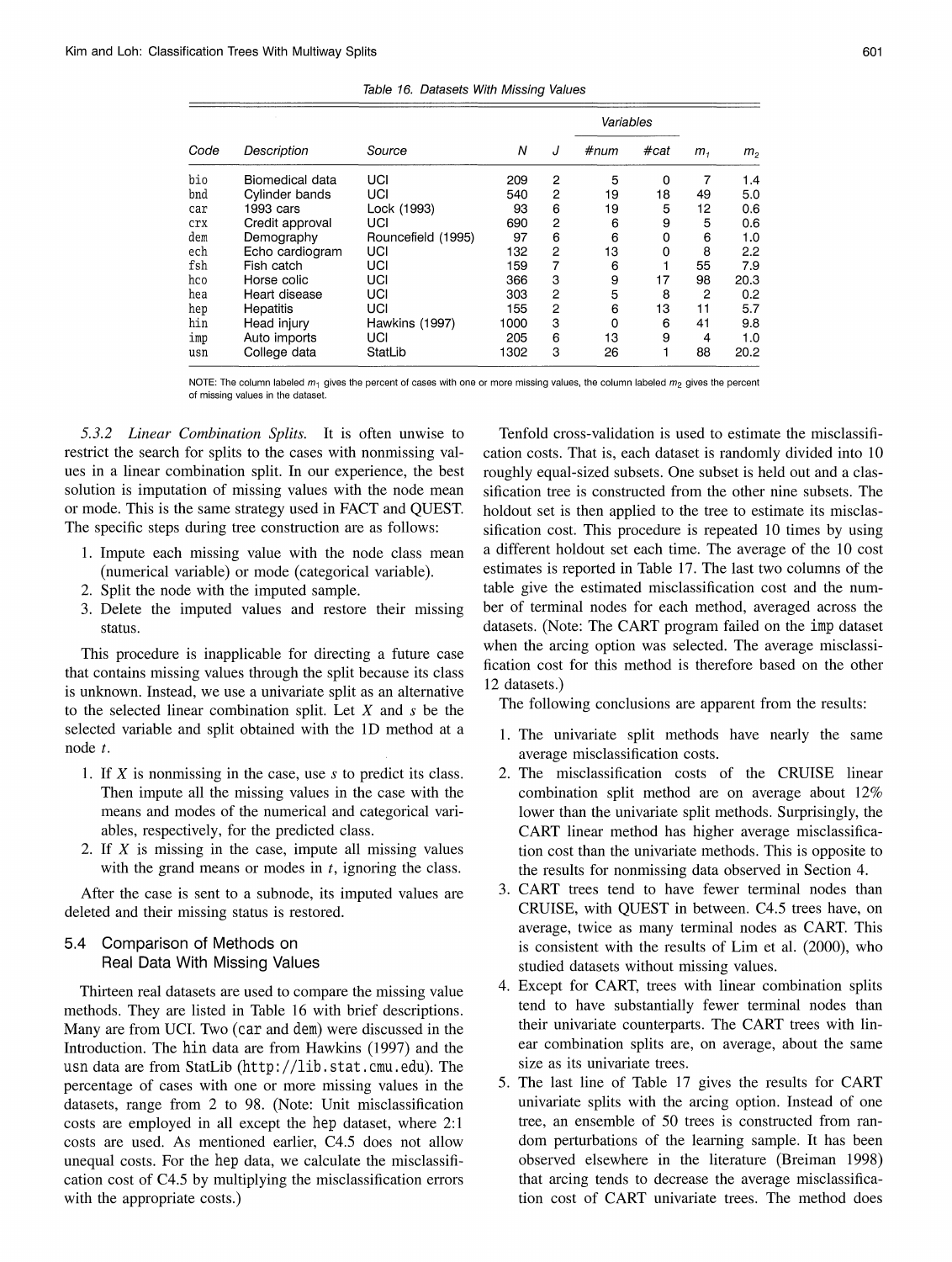Table 16. Datasets With Missing Values

|      |                 |                    |      |   | Variables |      | m <sub>1</sub> |                |
|------|-----------------|--------------------|------|---|-----------|------|----------------|----------------|
| Code | Description     | Source             | Ν    | J | #num      | #cat |                | m <sub>2</sub> |
| bio  | Biomedical data | UCI                | 209  | 2 | 5         | 0    |                | 1.4            |
| bnd  | Cylinder bands  | UCI                | 540  | 2 | 19        | 18   | 49             | 5.0            |
| car  | 1993 cars       | Lock (1993)        | 93   | 6 | 19        | 5    | 12             | 0.6            |
| crx  | Credit approval | UCI                | 690  | 2 | 6         | 9    | 5              | 0.6            |
| dem  | Demography      | Rouncefield (1995) | 97   | 6 | 6         | 0    | 6              | 1.0            |
| ech  | Echo cardiogram | UCI                | 132  | 2 | 13        | 0    | 8              | 2.2            |
| fsh  | Fish catch      | UCI                | 159  | 7 | 6         |      | 55             | 7.9            |
| hco  | Horse colic     | UCI                | 366  | 3 | 9         | 17   | 98             | 20.3           |
| hea  | Heart disease   | UCI                | 303  | 2 | 5         | 8    | 2              | 0.2            |
| hep  | Hepatitis       | UCI                | 155  | 2 | 6         | 13   | 11             | 5.7            |
| hin  | Head injury     | Hawkins (1997)     | 1000 | 3 | 0         | 6    | 41             | 9.8            |
| imp  | Auto imports    | UCI                | 205  | 6 | 13        | 9    | 4              | 1.0            |
| usn  | College data    | StatLib            | 1302 | 3 | 26        |      | 88             | 20.2           |

NOTE: The column labeled  $m_1$  gives the percent of cases with one or more missing values, the column labeled  $m_2$  gives the percent of missing values in the dataset.

5.3.2 Linear Combination Splits. It is often unwise to restrict the search for splits to the cases with nonmissing values in a linear combination split. In our experience, the best solution is imputation of missing values with the node mean or mode. This is the same strategy used in FACT and QUEST. The specific steps during tree construction are as follows:

- 1. Impute each missing value with the node class mean (numerical variable) or mode (categorical variable).
- 2. Split the node with the imputed sample.
- 3. Delete the imputed values and restore their missing status.

This procedure is inapplicable for directing a future case that contains missing values through the split because its class is unknown. Instead, we use a univariate split as an alternative to the selected linear combination split. Let  $X$  and  $s$  be the selected variable and split obtained with the 1D method at a node  $t$ .

- 1. If  $X$  is nonmissing in the case, use  $s$  to predict its class. Then impute all the missing values in the case with the means and modes of the numerical and categorical variables, respectively, for the predicted class.
- 2. If  $X$  is missing in the case, impute all missing values with the grand means or modes in  $t$ , ignoring the class.

After the case is sent to a subnode, its imputed values are deleted and their missing status is restored.

#### 5.4 Comparison of Methods on Real Data With Missing Values

Thirteen real datasets are used to compare the missing value methods. They are listed in Table 16 with brief descriptions. Many are from UCI. Two (car and dem) were discussed in the Introduction. The hin data are from Hawkins (1997) and the usn data are from StatLib (http://lib.stat.cmu.edu). The percentage of cases with one or more missing values in the datasets, range from 2 to 98. (Note: Unit misclassification costs are employed in all except the hep dataset, where 2:1 costs are used. As mentioned earlier, C4.5 does not allow unequal costs. For the hep data, we calculate the misclassification cost of C4.5 by multiplying the misclassification errors with the appropriate costs.)

Tenfold cross-validation is used to estimate the misclassification costs. That is, each dataset is randomly divided into 10 roughly equal-sized subsets. One subset is held out and a classification tree is constructed from the other nine subsets. The holdout set is then applied to the tree to estimate its misclassification cost. This procedure is repeated 10 times by using a different holdout set each time. The average of the 10 cost estimates is reported in Table 17. The last two columns of the table give the estimated misclassification cost and the number of terminal nodes for each method, averaged across the datasets. (Note: The CART program failed on the imp dataset when the arcing option was selected. The average misclassification cost for this method is therefore based on the other 12 datasets.)

The following conclusions are apparent from the results:

- 1. The univariate split methods have nearly the same average misclassification costs.
- 2. The misclassification costs of the CRUISE linear combination split method are on average about 12% lower than the univariate split methods. Surprisingly, the CART linear method has higher average misclassification cost than the univariate methods. This is opposite to the results for nonmissing data observed in Section 4.
- 3. CART trees tend to have fewer terminal nodes than CRUISE, with QUEST in between. C4.5 trees have, on average, twice as many terminal nodes as CART. This is consistent with the results of Lim et al. (2000), who studied datasets without missing values.
- 4. Except for CART, trees with linear combination splits tend to have substantially fewer terminal nodes than their univariate counterparts. The CART trees with linear combination splits are, on average, about the same size as its univariate trees.
- 5. The last line of Table 17 gives the results for CART univariate splits with the arcing option. Instead of one tree, an ensemble of 50 trees is constructed from random perturbations of the learning sample. It has been observed elsewhere in the literature (Breiman 1998) that arcing tends to decrease the average misclassification cost of CART univariate trees. The method does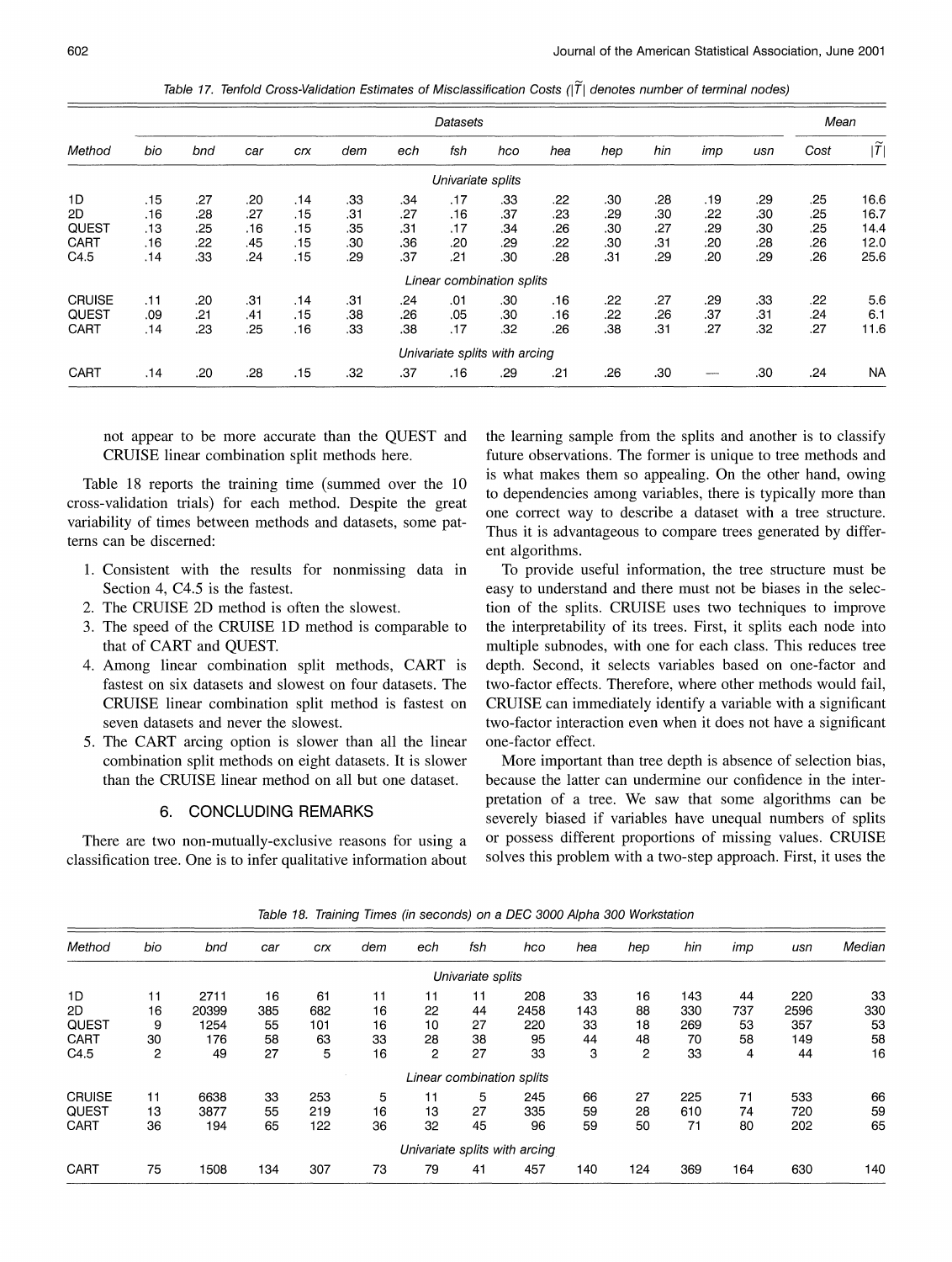Table 17. Tenfold Cross-Validation Estimates of Misclassification Costs ( $|T|$  denotes number of terminal nodes)

|               | Datasets |     |     |     |     |     |                   |                               |     |     |     |     | Mean |      |                         |
|---------------|----------|-----|-----|-----|-----|-----|-------------------|-------------------------------|-----|-----|-----|-----|------|------|-------------------------|
| Method        | bio      | bnd | car | crx | dem | ech | fsh               | hco                           | hea | hep | hin | imp | usn  | Cost | $ \tilde{\mathcal{T}} $ |
|               |          |     |     |     |     |     | Univariate splits |                               |     |     |     |     |      |      |                         |
| 1D            | .15      | .27 | .20 | .14 | .33 | .34 | .17               | .33                           | .22 | .30 | .28 | .19 | .29  | .25  | 16.6                    |
| 2D            | .16      | .28 | .27 | .15 | .31 | .27 | .16               | .37                           | .23 | .29 | .30 | .22 | .30  | .25  | 16.7                    |
| <b>QUEST</b>  | .13      | .25 | .16 | .15 | .35 | .31 | .17               | .34                           | .26 | .30 | .27 | .29 | .30  | .25  | 14.4                    |
| CART          | .16      | .22 | .45 | .15 | .30 | .36 | .20               | .29                           | .22 | .30 | .31 | .20 | .28  | .26  | 12.0                    |
| C4.5          | .14      | 33  | .24 | .15 | .29 | .37 | .21               | .30                           | .28 | .31 | .29 | .20 | .29  | .26  | 25.6                    |
|               |          |     |     |     |     |     |                   | Linear combination splits     |     |     |     |     |      |      |                         |
| <b>CRUISE</b> | .11      | .20 | .31 | .14 | .31 | .24 | .01               | .30                           | .16 | .22 | .27 | .29 | .33  | .22  | 5.6                     |
| <b>QUEST</b>  | .09      | .21 | .41 | .15 | .38 | .26 | .05               | .30                           | .16 | .22 | .26 | .37 | .31  | .24  | 6.1                     |
| CART          | .14      | .23 | .25 | .16 | .33 | .38 | .17               | .32                           | .26 | .38 | .31 | .27 | .32  | .27  | 11.6                    |
|               |          |     |     |     |     |     |                   | Univariate splits with arcing |     |     |     |     |      |      |                         |
| CART          | .14      | .20 | .28 | .15 | .32 | .37 | .16               | .29                           | .21 | .26 | .30 |     | .30  | .24  | <b>NA</b>               |

not appear to be more accurate than the QUEST and CRUISE linear combination split methods here.

Table 18 reports the training time (summed over the 10 cross-validation trials) for each method. Despite the great variability of times between methods and datasets, some patterns can be discerned:

- 1. Consistent with the results for nonmissing data in Section 4, C4.5 is the fastest.
- 2. The CRUISE 2D method is often the slowest.
- 3. The speed of the CRUISE 1D method is comparable to that of CART and QUEST.
- 4. Among linear combination split methods, CART is fastest on six datasets and slowest on four datasets. The CRUISE linear combination split method is fastest on seven datasets and never the slowest.
- 5. The CART arcing option is slower than all the linear combination split methods on eight datasets. It is slower than the CRUISE linear method on all but one dataset.

# 6. CONCLUDING REMARKS

There are two non-mutually-exclusive reasons for using a classification tree. One is to infer qualitative information about the learning sample from the splits and another is to classify future observations. The former is unique to tree methods and is what makes them so appealing. On the other hand, owing to dependencies among variables, there is typically more than one correct way to describe a dataset with a tree structure. Thus it is advantageous to compare trees generated by different algorithms.

To provide useful information, the tree structure must be easy to understand and there must not be biases in the selection of the splits. CRUISE uses two techniques to improve the interpretability of its trees. First, it splits each node into multiple subnodes, with one for each class. This reduces tree depth. Second, it selects variables based on one-factor and two-factor effects. Therefore, where other methods would fail, CRUISE can immediately identify a variable with a significant two-factor interaction even when it does not have a significant one-factor effect.

More important than tree depth is absence of selection bias, because the latter can undermine our confidence in the interpretation of a tree. We saw that some algorithms can be severely biased if variables have unequal numbers of splits or possess different proportions of missing values. CRUISE solves this problem with a two-step approach. First, it uses the

| Method | bio | bnd   | car | <b>Crx</b> | dem | ech                       | fsh               | hco                           | hea | hep            | hin | imp | usn  | Median |
|--------|-----|-------|-----|------------|-----|---------------------------|-------------------|-------------------------------|-----|----------------|-----|-----|------|--------|
|        |     |       |     |            |     |                           | Univariate splits |                               |     |                |     |     |      |        |
| 1D     | 11  | 2711  | 16  | 61         | 11  | 11                        | 11                | 208                           | 33  | 16             | 143 | 44  | 220  | 33     |
| 2D     | 16  | 20399 | 385 | 682        | 16  | 22                        | 44                | 2458                          | 143 | 88             | 330 | 737 | 2596 | 330    |
| QUEST  | 9   | 1254  | 55  | 101        | 16  | 10                        | 27                | 220                           | 33  | 18             | 269 | 53  | 357  | 53     |
| CART   | 30  | 176   | 58  | 63         | 33  | 28                        | 38                | 95                            | 44  | 48             | 70  | 58  | 149  | 58     |
| C4.5   | 2   | 49    | 27  | 5          | 16  | 2                         | 27                | 33                            | 3   | $\overline{2}$ | 33  | 4   | 44   | 16     |
|        |     |       |     |            |     | Linear combination splits |                   |                               |     |                |     |     |      |        |
| CRUISE | 11  | 6638  | 33  | 253        | 5   | 11                        | 5                 | 245                           | 66  | 27             | 225 | 71  | 533  | 66     |
| QUEST  | 13  | 3877  | 55  | 219        | 16  | 13                        | 27                | 335                           | 59  | 28             | 610 | 74  | 720  | 59     |
| CART   | 36  | 194   | 65  | 122        | 36  | 32                        | 45                | 96                            | 59  | 50             | 71  | 80  | 202  | 65     |
|        |     |       |     |            |     |                           |                   | Univariate splits with arcing |     |                |     |     |      |        |
| CART   | 75  | 1508  | 134 | 307        | 73  | 79                        | 41                | 457                           | 140 | 124            | 369 | 164 | 630  | 140    |

Table 18. Training Times (in seconds) on a DEC 3000 Alpha 300 Workstation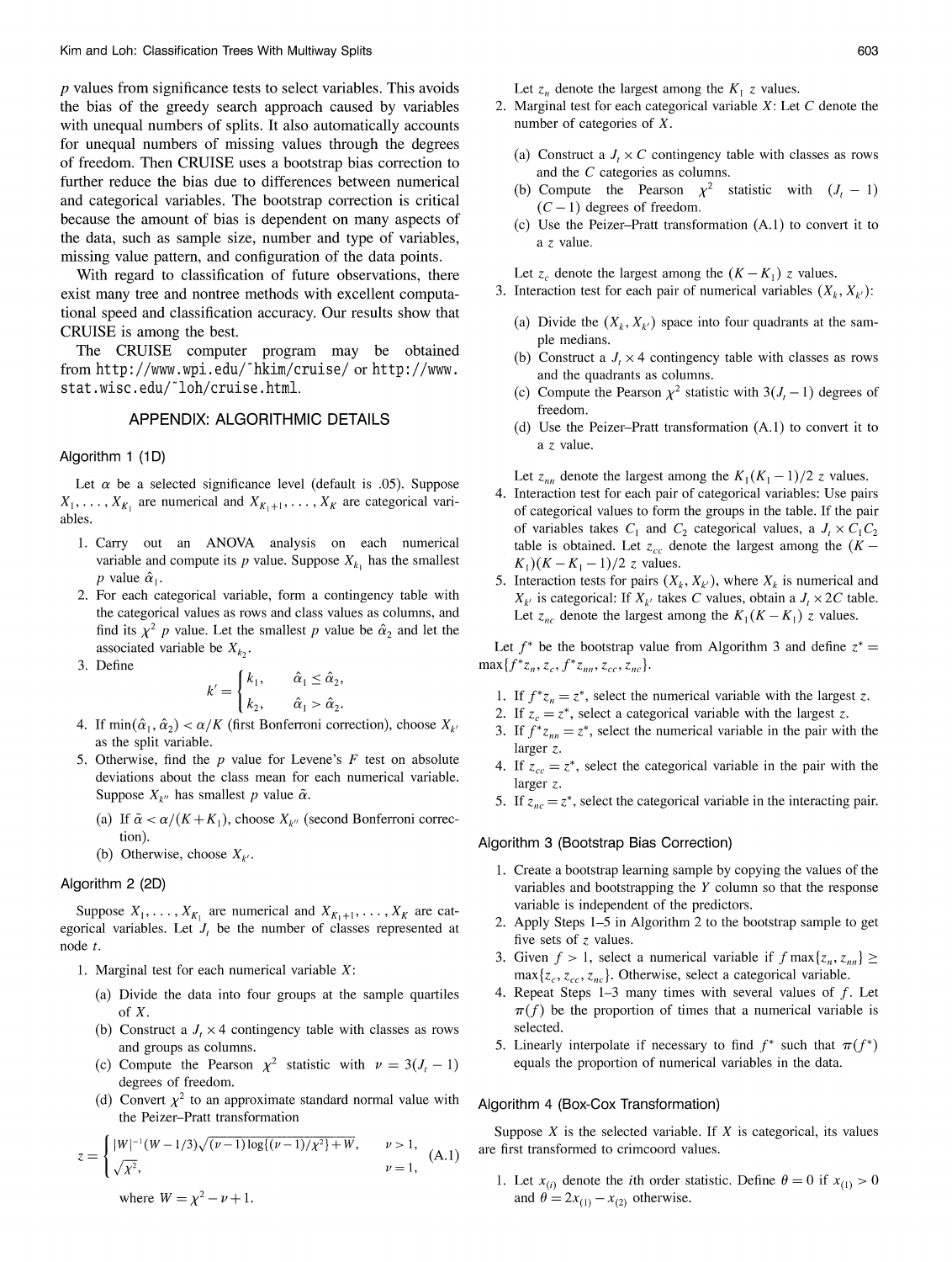$p$  values from significance tests to select variables. This avoids the bias of the greedy search approach caused by variables with unequal numbers of splits. It also automatically accounts for unequal numbers of missing values through the degrees of freedom. Then CRUISE uses a bootstrap bias correction to further reduce the bias due to differences between numerical and categorical variables. The bootstrap correction is critical because the amount of bias is dependent on many aspects of the data, such as sample size, number and type of variables, missing value pattern, and configuration of the data points.

With regard to classification of future observations, there exist many tree and nontree methods with excellent computational speed and classification accuracy. Our results show that CRUISE is among the best.

The CRUISE computer program may be obtained from http://www.wpi.edu/"hkim/cruise/ or http://www. stat.wisc.edu/~loh/cruise.html.

# APPENDIX: ALGORITHMIC DETAILS

### Algorithm 1 (1D)

Let  $\alpha$  be a selected significance level (default is .05). Suppose  $X_1, \ldots, X_{K_1}$  are numerical and  $X_{K_1+1}, \ldots, X_K$  are categorical variables.

- 1. Carry out an ANOVA analysis on each numerical variable and compute its p value. Suppose  $X_{k_1}$  has the smallest p value  $\hat{\alpha}_1$ .
- 2. For each categorical variable, form a contingency table with the categorical values as rows and class values as columns, and find its  $\chi^2$  p value. Let the smallest p value be  $\hat{\alpha}_2$  and let the associated variable be  $X_{k_2}$ .
- 3. Define

$$
k' = \begin{cases} k_1, & \hat{\alpha}_1 \leq \hat{\alpha}_2, \\ k_2, & \hat{\alpha}_1 > \hat{\alpha}_2. \end{cases}
$$

- 4. If  $\min(\hat{\alpha}_1, \hat{\alpha}_2) < \alpha/K$  (first Bonferroni correction), choose  $X_{k'}$ as the split variable.
- 5. Otherwise, find the  $p$  value for Levene's  $F$  test on absolute deviations about the class mean for each numerical variable. Suppose  $X_{k''}$  has smallest p value  $\tilde{\alpha}$ .
	- (a) If  $\tilde{\alpha} < \alpha/(K + K_1)$ , choose  $X_{k''}$  (second Bonferroni correction).
	- (b) Otherwise, choose  $X_{\nu}$ .

# Algorithm 2 (2D)

Suppose  $X_1, \ldots, X_{K_1}$  are numerical and  $X_{K_1+1}, \ldots, X_K$  are categorical variables. Let  $J_t$  be the number of classes represented at node  $t$ .

- 1. Marginal test for each numerical variable  $X$ :
	- (a) Divide the data into four groups at the sample quartiles of  $X$ .
	- (b) Construct a  $J_t \times 4$  contingency table with classes as rows and groups as columns.
	- Compute the Pearson  $\chi^2$  statistic with  $\nu = 3(J_t 1)$  $(c)$ degrees of freedom.
	- (d) Convert  $\chi^2$  to an approximate standard normal value with the Peizer-Pratt transformation

$$
z = \begin{cases} |W|^{-1}(W - 1/3)\sqrt{(\nu - 1)\log((\nu - 1)/\chi^2) + W}, & \nu > 1, \\ \sqrt{\chi^2}, & \nu = 1, \end{cases}
$$
 (A.1)  
where  $W = \chi^2 - \nu + 1$ .

Let  $z_n$  denote the largest among the  $K_1$  z values.

- 2. Marginal test for each categorical variable  $X$ : Let  $C$  denote the number of categories of  $X$ .
	- (a) Construct a  $J_t \times C$  contingency table with classes as rows and the  $C$  categories as columns.
	- (b) Compute the Pearson  $\chi^2$  statistic with  $(J_t 1)$  $(C-1)$  degrees of freedom.
	- (c) Use the Peizer-Pratt transformation (A.1) to convert it to a z value.

Let  $z_c$  denote the largest among the  $(K - K_1)$  z values.

- 3. Interaction test for each pair of numerical variables  $(X_k, X_{k'})$ :
	- (a) Divide the  $(X_k, X_{k'})$  space into four quadrants at the sample medians.
	- (b) Construct a  $J_t \times 4$  contingency table with classes as rows and the quadrants as columns.
	- (c) Compute the Pearson  $\chi^2$  statistic with  $3(J_t 1)$  degrees of freedom.
	- (d) Use the Peizer-Pratt transformation (A.1) to convert it to a z value.

Let  $z_{nn}$  denote the largest among the  $K_1(K_1-1)/2$  z values.

- 4. Interaction test for each pair of categorical variables: Use pairs of categorical values to form the groups in the table. If the pair of variables takes  $C_1$  and  $C_2$  categorical values, a  $J_t \times C_1 C_2$ table is obtained. Let  $z_{cc}$  denote the largest among the  $(K K_1$ )( $K - K_1 - 1$ )/2 z values.
- 5. Interaction tests for pairs  $(X_k, X_{k'})$ , where  $X_k$  is numerical and  $X_{k'}$  is categorical: If  $X_{k'}$  takes C values, obtain a  $J_t \times 2C$  table. Let  $z_{nc}$  denote the largest among the  $K_1(K - K_1)$  z values.

Let  $f^*$  be the bootstrap value from Algorithm 3 and define  $z^*$  =  $\max\{f^*z_n, z_c, f^*z_m, z_{cc}, z_{nc}\}.$ 

- 1. If  $f^*z_n = z^*$ , select the numerical variable with the largest z.
- 2. If  $z_c = z^*$ , select a categorical variable with the largest z.
- 3. If  $f^*z_m = z^*$ , select the numerical variable in the pair with the larger  $z$ .
- 4. If  $z_{cc} = z^*$ , select the categorical variable in the pair with the larger  $z$ .
- 5. If  $z_{nc} = z^*$ , select the categorical variable in the interacting pair.

# Algorithm 3 (Bootstrap Bias Correction)

- 1. Create a bootstrap learning sample by copying the values of the variables and bootstrapping the  $Y$  column so that the response variable is independent of the predictors.
- 2. Apply Steps 1-5 in Algorithm 2 to the bootstrap sample to get five sets of  $z$  values.
- 3. Given  $f > 1$ , select a numerical variable if  $f \max\{z_n, z_{nn}\} \ge$  $\max\{z_c, z_{cc}, z_{nc}\}\$ . Otherwise, select a categorical variable.
- 4. Repeat Steps  $1-3$  many times with several values of  $f$ . Let  $\pi(f)$  be the proportion of times that a numerical variable is selected.
- 5. Linearly interpolate if necessary to find  $f^*$  such that  $\pi(f^*)$ equals the proportion of numerical variables in the data.

### Algorithm 4 (Box-Cox Transformation)

Suppose  $X$  is the selected variable. If  $X$  is categorical, its values are first transformed to crimcoord values.

1. Let  $x_{(i)}$  denote the *i*th order statistic. Define  $\theta = 0$  if  $x_{(1)} > 0$ and  $\theta = 2x_{(1)} - x_{(2)}$  otherwise.